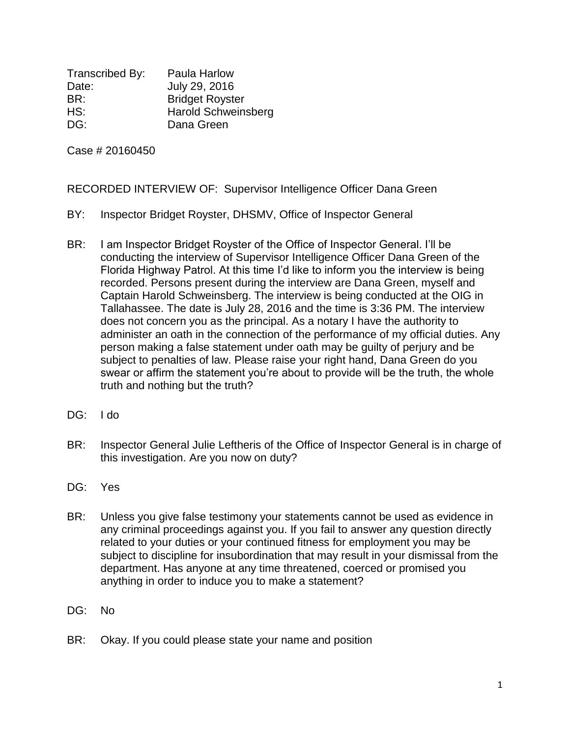Transcribed By: Paula Harlow Date: July 29, 2016 BR: Bridget Royster HS: Harold Schweinsberg DG: Dana Green

Case # 20160450

RECORDED INTERVIEW OF: Supervisor Intelligence Officer Dana Green

- BY: Inspector Bridget Royster, DHSMV, Office of Inspector General
- BR: I am Inspector Bridget Royster of the Office of Inspector General. I'll be conducting the interview of Supervisor Intelligence Officer Dana Green of the Florida Highway Patrol. At this time I'd like to inform you the interview is being recorded. Persons present during the interview are Dana Green, myself and Captain Harold Schweinsberg. The interview is being conducted at the OIG in Tallahassee. The date is July 28, 2016 and the time is 3:36 PM. The interview does not concern you as the principal. As a notary I have the authority to administer an oath in the connection of the performance of my official duties. Any person making a false statement under oath may be guilty of perjury and be subject to penalties of law. Please raise your right hand, Dana Green do you swear or affirm the statement you're about to provide will be the truth, the whole truth and nothing but the truth?
- DG: I do
- BR: Inspector General Julie Leftheris of the Office of Inspector General is in charge of this investigation. Are you now on duty?
- DG: Yes
- BR: Unless you give false testimony your statements cannot be used as evidence in any criminal proceedings against you. If you fail to answer any question directly related to your duties or your continued fitness for employment you may be subject to discipline for insubordination that may result in your dismissal from the department. Has anyone at any time threatened, coerced or promised you anything in order to induce you to make a statement?
- DG: No
- BR: Okay. If you could please state your name and position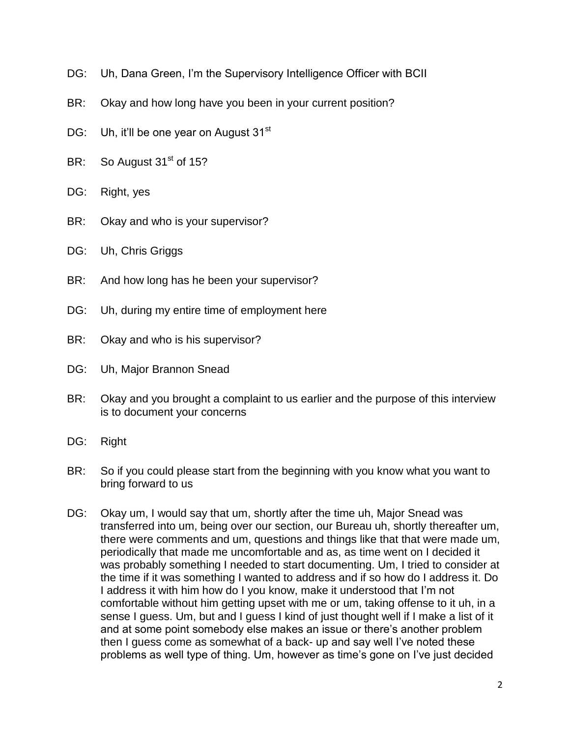- DG: Uh, Dana Green, I'm the Supervisory Intelligence Officer with BCII
- BR: Okay and how long have you been in your current position?
- DG: Uh, it'll be one year on August 31<sup>st</sup>
- BR: So August  $31<sup>st</sup>$  of 15?
- DG: Right, yes
- BR: Okay and who is your supervisor?
- DG: Uh, Chris Griggs
- BR: And how long has he been your supervisor?
- DG: Uh, during my entire time of employment here
- BR: Okay and who is his supervisor?
- DG: Uh, Major Brannon Snead
- BR: Okay and you brought a complaint to us earlier and the purpose of this interview is to document your concerns
- DG: Right
- BR: So if you could please start from the beginning with you know what you want to bring forward to us
- DG: Okay um, I would say that um, shortly after the time uh, Major Snead was transferred into um, being over our section, our Bureau uh, shortly thereafter um, there were comments and um, questions and things like that that were made um, periodically that made me uncomfortable and as, as time went on I decided it was probably something I needed to start documenting. Um, I tried to consider at the time if it was something I wanted to address and if so how do I address it. Do I address it with him how do I you know, make it understood that I'm not comfortable without him getting upset with me or um, taking offense to it uh, in a sense I guess. Um, but and I guess I kind of just thought well if I make a list of it and at some point somebody else makes an issue or there's another problem then I guess come as somewhat of a back- up and say well I've noted these problems as well type of thing. Um, however as time's gone on I've just decided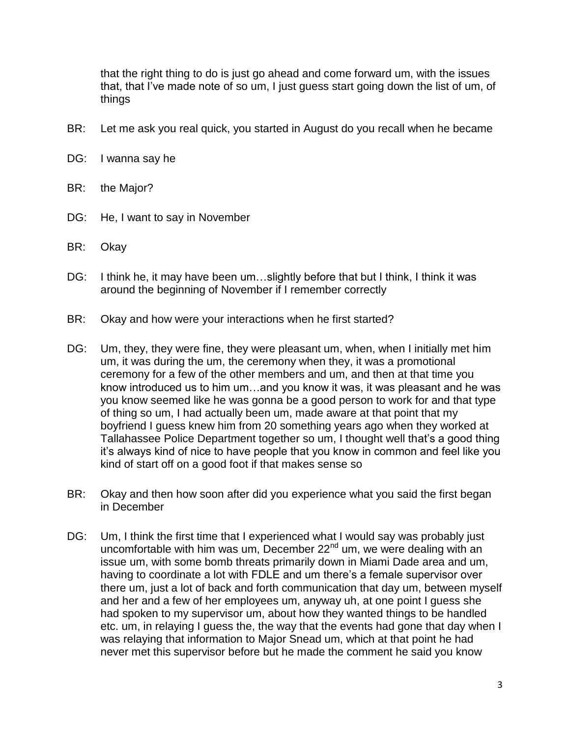that the right thing to do is just go ahead and come forward um, with the issues that, that I've made note of so um, I just guess start going down the list of um, of things

- BR: Let me ask you real quick, you started in August do you recall when he became
- DG: I wanna say he
- BR: the Major?
- DG: He, I want to say in November
- BR: Okay
- DG: I think he, it may have been um...slightly before that but I think, I think it was around the beginning of November if I remember correctly
- BR: Okay and how were your interactions when he first started?
- DG: Um, they, they were fine, they were pleasant um, when, when I initially met him um, it was during the um, the ceremony when they, it was a promotional ceremony for a few of the other members and um, and then at that time you know introduced us to him um…and you know it was, it was pleasant and he was you know seemed like he was gonna be a good person to work for and that type of thing so um, I had actually been um, made aware at that point that my boyfriend I guess knew him from 20 something years ago when they worked at Tallahassee Police Department together so um, I thought well that's a good thing it's always kind of nice to have people that you know in common and feel like you kind of start off on a good foot if that makes sense so
- BR: Okay and then how soon after did you experience what you said the first began in December
- DG: Um, I think the first time that I experienced what I would say was probably just uncomfortable with him was um, December  $22<sup>nd</sup>$  um, we were dealing with an issue um, with some bomb threats primarily down in Miami Dade area and um, having to coordinate a lot with FDLE and um there's a female supervisor over there um, just a lot of back and forth communication that day um, between myself and her and a few of her employees um, anyway uh, at one point I guess she had spoken to my supervisor um, about how they wanted things to be handled etc. um, in relaying I guess the, the way that the events had gone that day when I was relaying that information to Major Snead um, which at that point he had never met this supervisor before but he made the comment he said you know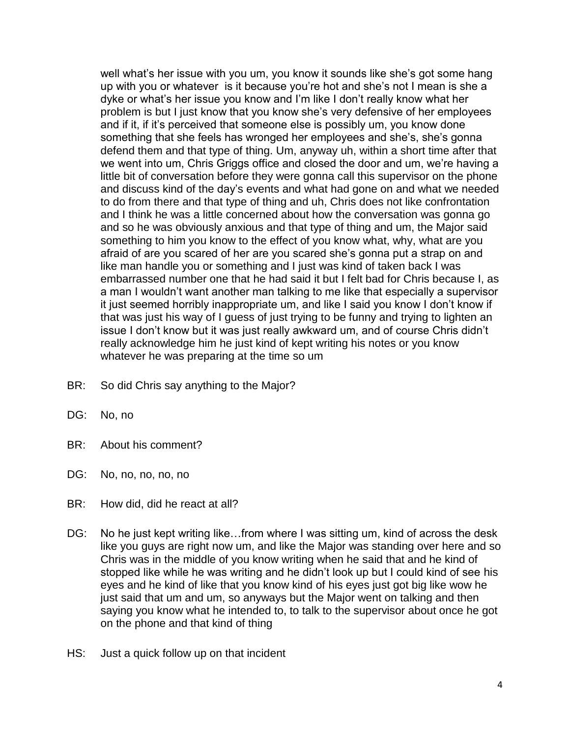well what's her issue with you um, you know it sounds like she's got some hang up with you or whatever is it because you're hot and she's not I mean is she a dyke or what's her issue you know and I'm like I don't really know what her problem is but I just know that you know she's very defensive of her employees and if it, if it's perceived that someone else is possibly um, you know done something that she feels has wronged her employees and she's, she's gonna defend them and that type of thing. Um, anyway uh, within a short time after that we went into um, Chris Griggs office and closed the door and um, we're having a little bit of conversation before they were gonna call this supervisor on the phone and discuss kind of the day's events and what had gone on and what we needed to do from there and that type of thing and uh, Chris does not like confrontation and I think he was a little concerned about how the conversation was gonna go and so he was obviously anxious and that type of thing and um, the Major said something to him you know to the effect of you know what, why, what are you afraid of are you scared of her are you scared she's gonna put a strap on and like man handle you or something and I just was kind of taken back I was embarrassed number one that he had said it but I felt bad for Chris because I, as a man I wouldn't want another man talking to me like that especially a supervisor it just seemed horribly inappropriate um, and like I said you know I don't know if that was just his way of I guess of just trying to be funny and trying to lighten an issue I don't know but it was just really awkward um, and of course Chris didn't really acknowledge him he just kind of kept writing his notes or you know whatever he was preparing at the time so um

- BR: So did Chris say anything to the Major?
- DG: No, no
- BR: About his comment?
- DG: No, no, no, no, no
- BR: How did, did he react at all?
- DG: No he just kept writing like...from where I was sitting um, kind of across the desk like you guys are right now um, and like the Major was standing over here and so Chris was in the middle of you know writing when he said that and he kind of stopped like while he was writing and he didn't look up but I could kind of see his eyes and he kind of like that you know kind of his eyes just got big like wow he just said that um and um, so anyways but the Major went on talking and then saying you know what he intended to, to talk to the supervisor about once he got on the phone and that kind of thing
- HS: Just a quick follow up on that incident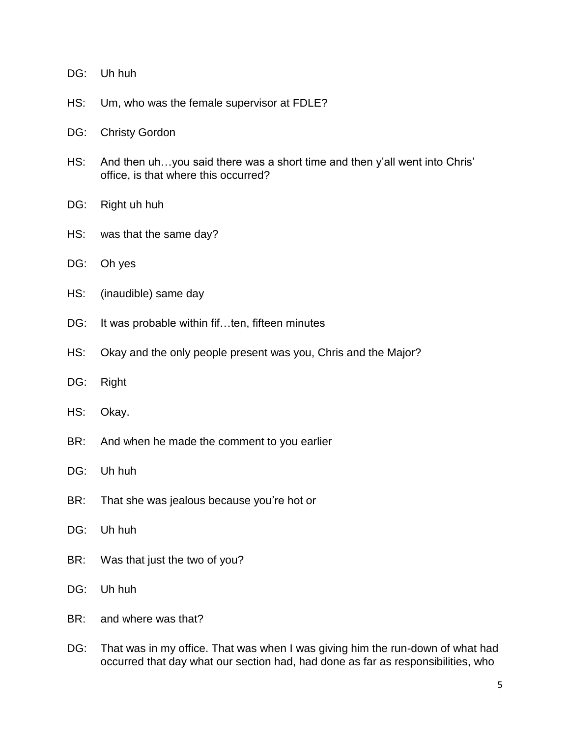| DG: | Uh huh |
|-----|--------|
|-----|--------|

- HS: Um, who was the female supervisor at FDLE?
- DG: Christy Gordon
- HS: And then uh…you said there was a short time and then y'all went into Chris' office, is that where this occurred?
- DG: Right uh huh
- HS: was that the same day?
- DG: Oh yes
- HS: (inaudible) same day
- DG: It was probable within fif...ten, fifteen minutes
- HS: Okay and the only people present was you, Chris and the Major?
- DG: Right
- HS: Okay.
- BR: And when he made the comment to you earlier
- DG: Uh huh
- BR: That she was jealous because you're hot or
- DG: Uh huh
- BR: Was that just the two of you?
- DG: Uh huh
- BR: and where was that?
- DG: That was in my office. That was when I was giving him the run-down of what had occurred that day what our section had, had done as far as responsibilities, who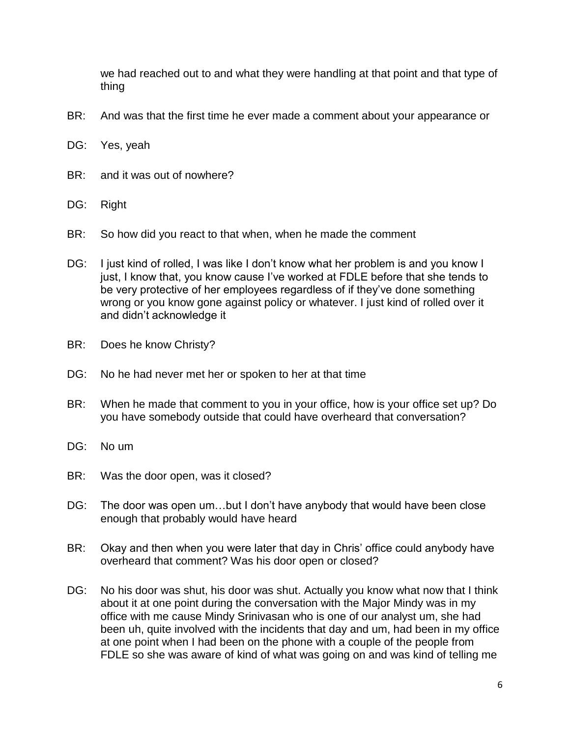we had reached out to and what they were handling at that point and that type of thing

- BR: And was that the first time he ever made a comment about your appearance or
- DG: Yes, yeah
- BR: and it was out of nowhere?
- DG: Right
- BR: So how did you react to that when, when he made the comment
- DG: I just kind of rolled, I was like I don't know what her problem is and you know I just, I know that, you know cause I've worked at FDLE before that she tends to be very protective of her employees regardless of if they've done something wrong or you know gone against policy or whatever. I just kind of rolled over it and didn't acknowledge it
- BR: Does he know Christy?
- DG: No he had never met her or spoken to her at that time
- BR: When he made that comment to you in your office, how is your office set up? Do you have somebody outside that could have overheard that conversation?
- DG: No um
- BR: Was the door open, was it closed?
- DG: The door was open um…but I don't have anybody that would have been close enough that probably would have heard
- BR: Okay and then when you were later that day in Chris' office could anybody have overheard that comment? Was his door open or closed?
- DG: No his door was shut, his door was shut. Actually you know what now that I think about it at one point during the conversation with the Major Mindy was in my office with me cause Mindy Srinivasan who is one of our analyst um, she had been uh, quite involved with the incidents that day and um, had been in my office at one point when I had been on the phone with a couple of the people from FDLE so she was aware of kind of what was going on and was kind of telling me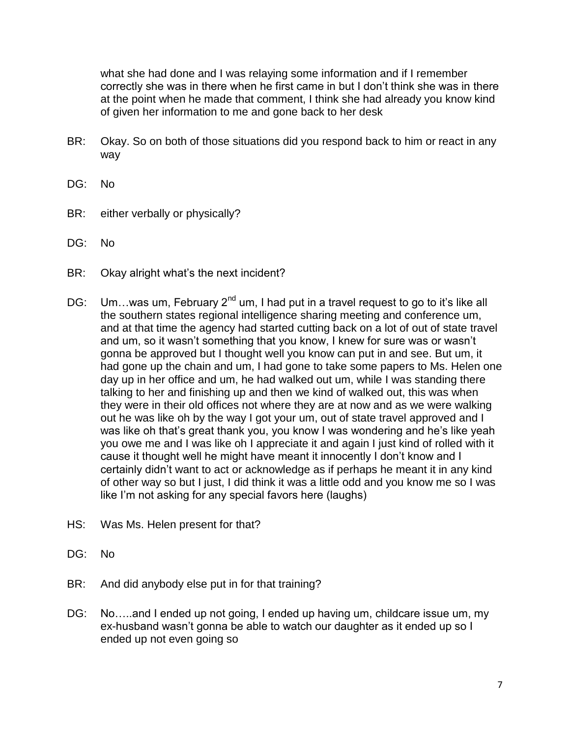what she had done and I was relaying some information and if I remember correctly she was in there when he first came in but I don't think she was in there at the point when he made that comment, I think she had already you know kind of given her information to me and gone back to her desk

- BR: Okay. So on both of those situations did you respond back to him or react in any way
- DG: No
- BR: either verbally or physically?
- DG: No
- BR: Okay alright what's the next incident?
- DG: Um...was um, February  $2^{nd}$  um, I had put in a travel request to go to it's like all the southern states regional intelligence sharing meeting and conference um, and at that time the agency had started cutting back on a lot of out of state travel and um, so it wasn't something that you know, I knew for sure was or wasn't gonna be approved but I thought well you know can put in and see. But um, it had gone up the chain and um, I had gone to take some papers to Ms. Helen one day up in her office and um, he had walked out um, while I was standing there talking to her and finishing up and then we kind of walked out, this was when they were in their old offices not where they are at now and as we were walking out he was like oh by the way I got your um, out of state travel approved and I was like oh that's great thank you, you know I was wondering and he's like yeah you owe me and I was like oh I appreciate it and again I just kind of rolled with it cause it thought well he might have meant it innocently I don't know and I certainly didn't want to act or acknowledge as if perhaps he meant it in any kind of other way so but I just, I did think it was a little odd and you know me so I was like I'm not asking for any special favors here (laughs)
- HS: Was Ms. Helen present for that?
- DG: No
- BR: And did anybody else put in for that training?
- DG: No....and I ended up not going, I ended up having um, childcare issue um, my ex-husband wasn't gonna be able to watch our daughter as it ended up so I ended up not even going so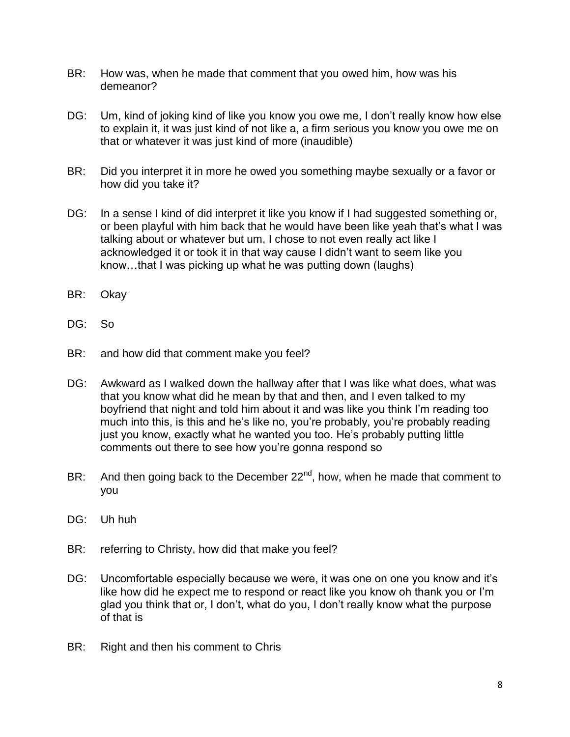- BR: How was, when he made that comment that you owed him, how was his demeanor?
- DG: Um, kind of joking kind of like you know you owe me, I don't really know how else to explain it, it was just kind of not like a, a firm serious you know you owe me on that or whatever it was just kind of more (inaudible)
- BR: Did you interpret it in more he owed you something maybe sexually or a favor or how did you take it?
- DG: In a sense I kind of did interpret it like you know if I had suggested something or, or been playful with him back that he would have been like yeah that's what I was talking about or whatever but um, I chose to not even really act like I acknowledged it or took it in that way cause I didn't want to seem like you know…that I was picking up what he was putting down (laughs)
- BR: Okay
- DG: So
- BR: and how did that comment make you feel?
- DG: Awkward as I walked down the hallway after that I was like what does, what was that you know what did he mean by that and then, and I even talked to my boyfriend that night and told him about it and was like you think I'm reading too much into this, is this and he's like no, you're probably, you're probably reading just you know, exactly what he wanted you too. He's probably putting little comments out there to see how you're gonna respond so
- BR: And then going back to the December  $22^{nd}$ , how, when he made that comment to you
- DG: Uh huh
- BR: referring to Christy, how did that make you feel?
- DG: Uncomfortable especially because we were, it was one on one you know and it's like how did he expect me to respond or react like you know oh thank you or I'm glad you think that or, I don't, what do you, I don't really know what the purpose of that is
- BR: Right and then his comment to Chris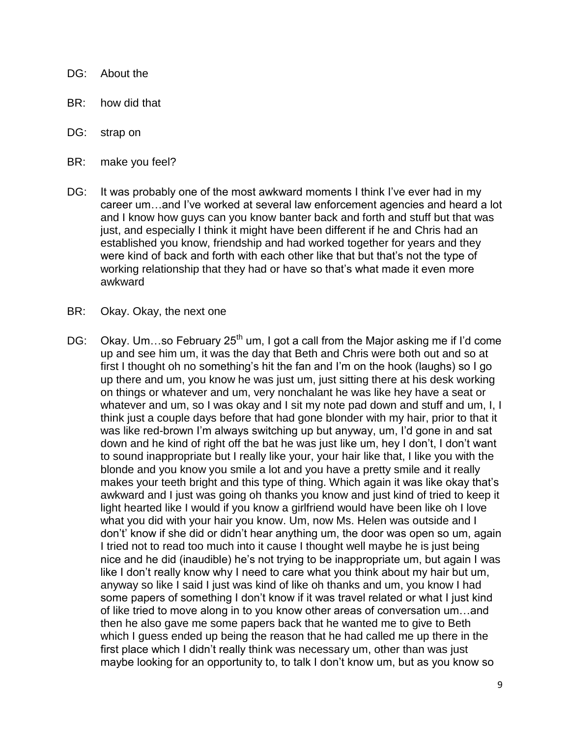- DG: About the
- BR: how did that
- DG: strap on
- BR: make you feel?
- DG: It was probably one of the most awkward moments I think I've ever had in my career um…and I've worked at several law enforcement agencies and heard a lot and I know how guys can you know banter back and forth and stuff but that was just, and especially I think it might have been different if he and Chris had an established you know, friendship and had worked together for years and they were kind of back and forth with each other like that but that's not the type of working relationship that they had or have so that's what made it even more awkward
- BR: Okay. Okay, the next one
- DG: Okay. Um...so February 25<sup>th</sup> um, I got a call from the Major asking me if I'd come up and see him um, it was the day that Beth and Chris were both out and so at first I thought oh no something's hit the fan and I'm on the hook (laughs) so I go up there and um, you know he was just um, just sitting there at his desk working on things or whatever and um, very nonchalant he was like hey have a seat or whatever and um, so I was okay and I sit my note pad down and stuff and um, I, I think just a couple days before that had gone blonder with my hair, prior to that it was like red-brown I'm always switching up but anyway, um, I'd gone in and sat down and he kind of right off the bat he was just like um, hey I don't, I don't want to sound inappropriate but I really like your, your hair like that, I like you with the blonde and you know you smile a lot and you have a pretty smile and it really makes your teeth bright and this type of thing. Which again it was like okay that's awkward and I just was going oh thanks you know and just kind of tried to keep it light hearted like I would if you know a girlfriend would have been like oh I love what you did with your hair you know. Um, now Ms. Helen was outside and I don't' know if she did or didn't hear anything um, the door was open so um, again I tried not to read too much into it cause I thought well maybe he is just being nice and he did (inaudible) he's not trying to be inappropriate um, but again I was like I don't really know why I need to care what you think about my hair but um, anyway so like I said I just was kind of like oh thanks and um, you know I had some papers of something I don't know if it was travel related or what I just kind of like tried to move along in to you know other areas of conversation um…and then he also gave me some papers back that he wanted me to give to Beth which I guess ended up being the reason that he had called me up there in the first place which I didn't really think was necessary um, other than was just maybe looking for an opportunity to, to talk I don't know um, but as you know so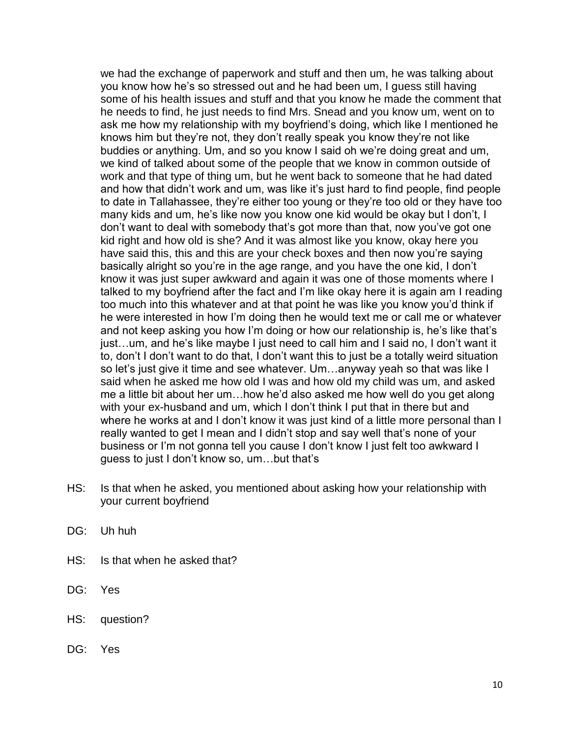we had the exchange of paperwork and stuff and then um, he was talking about you know how he's so stressed out and he had been um, I guess still having some of his health issues and stuff and that you know he made the comment that he needs to find, he just needs to find Mrs. Snead and you know um, went on to ask me how my relationship with my boyfriend's doing, which like I mentioned he knows him but they're not, they don't really speak you know they're not like buddies or anything. Um, and so you know I said oh we're doing great and um, we kind of talked about some of the people that we know in common outside of work and that type of thing um, but he went back to someone that he had dated and how that didn't work and um, was like it's just hard to find people, find people to date in Tallahassee, they're either too young or they're too old or they have too many kids and um, he's like now you know one kid would be okay but I don't, I don't want to deal with somebody that's got more than that, now you've got one kid right and how old is she? And it was almost like you know, okay here you have said this, this and this are your check boxes and then now you're saying basically alright so you're in the age range, and you have the one kid, I don't know it was just super awkward and again it was one of those moments where I talked to my boyfriend after the fact and I'm like okay here it is again am I reading too much into this whatever and at that point he was like you know you'd think if he were interested in how I'm doing then he would text me or call me or whatever and not keep asking you how I'm doing or how our relationship is, he's like that's just…um, and he's like maybe I just need to call him and I said no, I don't want it to, don't I don't want to do that, I don't want this to just be a totally weird situation so let's just give it time and see whatever. Um…anyway yeah so that was like I said when he asked me how old I was and how old my child was um, and asked me a little bit about her um…how he'd also asked me how well do you get along with your ex-husband and um, which I don't think I put that in there but and where he works at and I don't know it was just kind of a little more personal than I really wanted to get I mean and I didn't stop and say well that's none of your business or I'm not gonna tell you cause I don't know I just felt too awkward I guess to just I don't know so, um…but that's

- HS: Is that when he asked, you mentioned about asking how your relationship with your current boyfriend
- DG: Uh huh
- HS: Is that when he asked that?
- DG: Yes
- HS: question?
- DG: Yes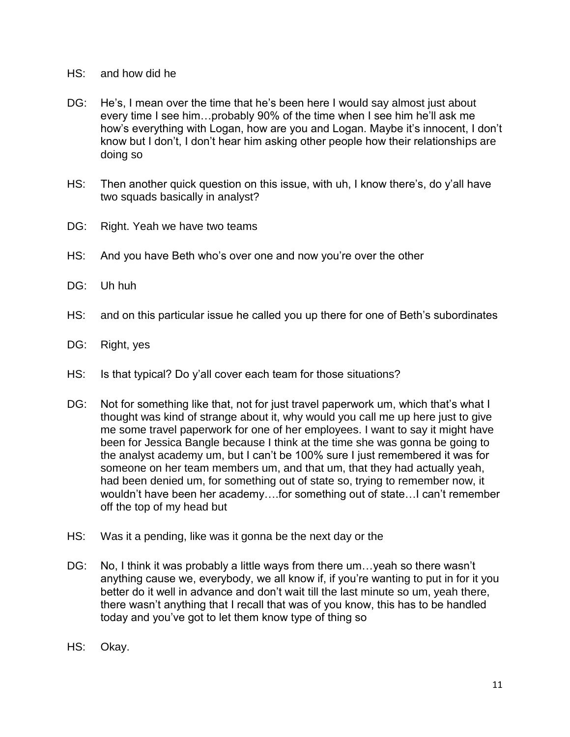- HS: and how did he
- DG: He's, I mean over the time that he's been here I would say almost just about every time I see him…probably 90% of the time when I see him he'll ask me how's everything with Logan, how are you and Logan. Maybe it's innocent, I don't know but I don't, I don't hear him asking other people how their relationships are doing so
- HS: Then another quick question on this issue, with uh, I know there's, do y'all have two squads basically in analyst?
- DG: Right. Yeah we have two teams
- HS: And you have Beth who's over one and now you're over the other
- DG: Uh huh
- HS: and on this particular issue he called you up there for one of Beth's subordinates
- DG: Right, yes
- HS: Is that typical? Do y'all cover each team for those situations?
- DG: Not for something like that, not for just travel paperwork um, which that's what I thought was kind of strange about it, why would you call me up here just to give me some travel paperwork for one of her employees. I want to say it might have been for Jessica Bangle because I think at the time she was gonna be going to the analyst academy um, but I can't be 100% sure I just remembered it was for someone on her team members um, and that um, that they had actually yeah, had been denied um, for something out of state so, trying to remember now, it wouldn't have been her academy….for something out of state…I can't remember off the top of my head but
- HS: Was it a pending, like was it gonna be the next day or the
- DG: No, I think it was probably a little ways from there um...yeah so there wasn't anything cause we, everybody, we all know if, if you're wanting to put in for it you better do it well in advance and don't wait till the last minute so um, yeah there, there wasn't anything that I recall that was of you know, this has to be handled today and you've got to let them know type of thing so
- HS: Okay.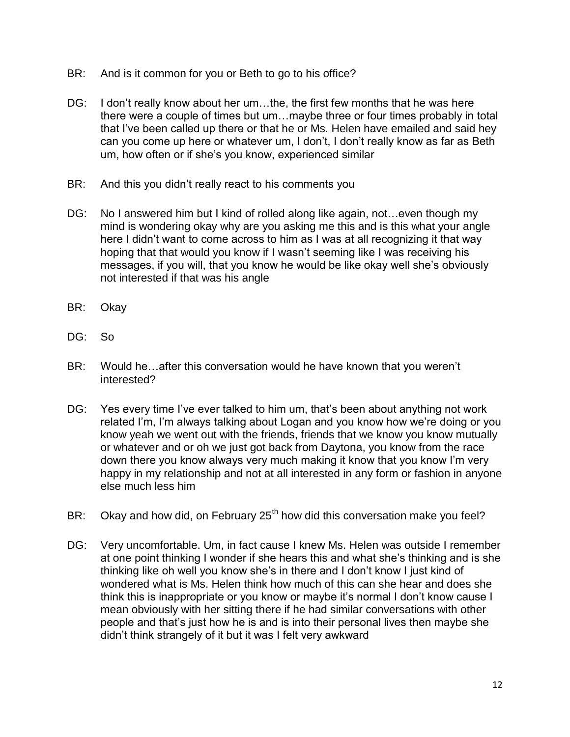- BR: And is it common for you or Beth to go to his office?
- DG: I don't really know about her um...the, the first few months that he was here there were a couple of times but um…maybe three or four times probably in total that I've been called up there or that he or Ms. Helen have emailed and said hey can you come up here or whatever um, I don't, I don't really know as far as Beth um, how often or if she's you know, experienced similar
- BR: And this you didn't really react to his comments you
- DG: No I answered him but I kind of rolled along like again, not... even though my mind is wondering okay why are you asking me this and is this what your angle here I didn't want to come across to him as I was at all recognizing it that way hoping that that would you know if I wasn't seeming like I was receiving his messages, if you will, that you know he would be like okay well she's obviously not interested if that was his angle
- BR: Okay
- DG: So
- BR: Would he…after this conversation would he have known that you weren't interested?
- DG: Yes every time I've ever talked to him um, that's been about anything not work related I'm, I'm always talking about Logan and you know how we're doing or you know yeah we went out with the friends, friends that we know you know mutually or whatever and or oh we just got back from Daytona, you know from the race down there you know always very much making it know that you know I'm very happy in my relationship and not at all interested in any form or fashion in anyone else much less him
- BR: Okay and how did, on February  $25<sup>th</sup>$  how did this conversation make you feel?
- DG: Very uncomfortable. Um, in fact cause I knew Ms. Helen was outside I remember at one point thinking I wonder if she hears this and what she's thinking and is she thinking like oh well you know she's in there and I don't know I just kind of wondered what is Ms. Helen think how much of this can she hear and does she think this is inappropriate or you know or maybe it's normal I don't know cause I mean obviously with her sitting there if he had similar conversations with other people and that's just how he is and is into their personal lives then maybe she didn't think strangely of it but it was I felt very awkward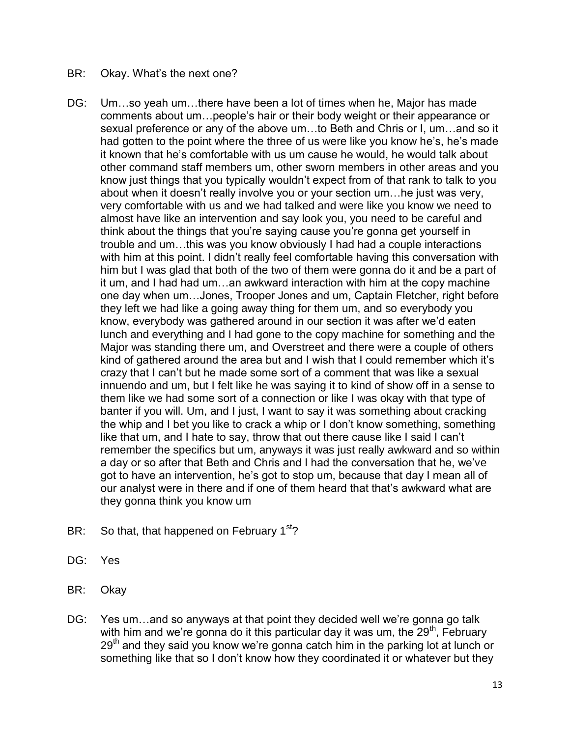## BR: Okay. What's the next one?

- DG: Um…so yeah um…there have been a lot of times when he, Major has made comments about um…people's hair or their body weight or their appearance or sexual preference or any of the above um…to Beth and Chris or I, um…and so it had gotten to the point where the three of us were like you know he's, he's made it known that he's comfortable with us um cause he would, he would talk about other command staff members um, other sworn members in other areas and you know just things that you typically wouldn't expect from of that rank to talk to you about when it doesn't really involve you or your section um…he just was very, very comfortable with us and we had talked and were like you know we need to almost have like an intervention and say look you, you need to be careful and think about the things that you're saying cause you're gonna get yourself in trouble and um…this was you know obviously I had had a couple interactions with him at this point. I didn't really feel comfortable having this conversation with him but I was glad that both of the two of them were gonna do it and be a part of it um, and I had had um…an awkward interaction with him at the copy machine one day when um…Jones, Trooper Jones and um, Captain Fletcher, right before they left we had like a going away thing for them um, and so everybody you know, everybody was gathered around in our section it was after we'd eaten lunch and everything and I had gone to the copy machine for something and the Major was standing there um, and Overstreet and there were a couple of others kind of gathered around the area but and I wish that I could remember which it's crazy that I can't but he made some sort of a comment that was like a sexual innuendo and um, but I felt like he was saying it to kind of show off in a sense to them like we had some sort of a connection or like I was okay with that type of banter if you will. Um, and I just, I want to say it was something about cracking the whip and I bet you like to crack a whip or I don't know something, something like that um, and I hate to say, throw that out there cause like I said I can't remember the specifics but um, anyways it was just really awkward and so within a day or so after that Beth and Chris and I had the conversation that he, we've got to have an intervention, he's got to stop um, because that day I mean all of our analyst were in there and if one of them heard that that's awkward what are they gonna think you know um
- BR: So that, that happened on February  $1<sup>st</sup>$ ?
- DG: Yes
- BR: Okay
- DG: Yes um…and so anyways at that point they decided well we're gonna go talk with him and we're gonna do it this particular day it was um, the  $29<sup>th</sup>$ , February  $29<sup>th</sup>$  and they said you know we're gonna catch him in the parking lot at lunch or something like that so I don't know how they coordinated it or whatever but they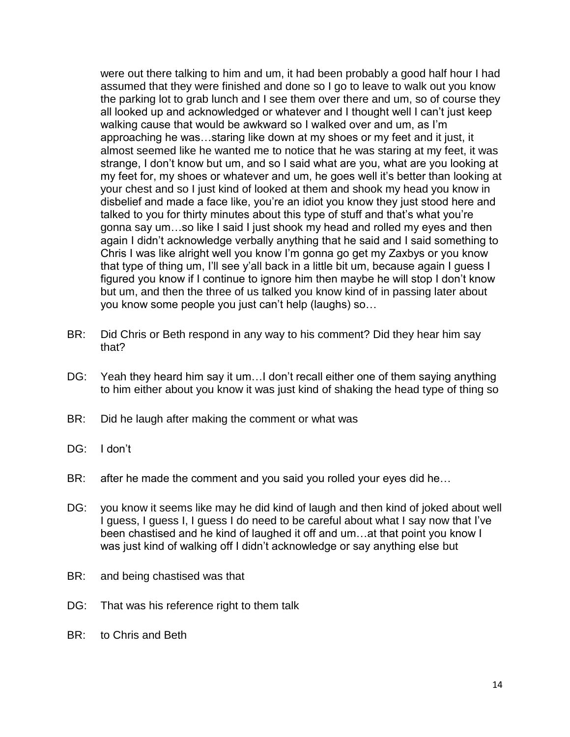were out there talking to him and um, it had been probably a good half hour I had assumed that they were finished and done so I go to leave to walk out you know the parking lot to grab lunch and I see them over there and um, so of course they all looked up and acknowledged or whatever and I thought well I can't just keep walking cause that would be awkward so I walked over and um, as I'm approaching he was…staring like down at my shoes or my feet and it just, it almost seemed like he wanted me to notice that he was staring at my feet, it was strange, I don't know but um, and so I said what are you, what are you looking at my feet for, my shoes or whatever and um, he goes well it's better than looking at your chest and so I just kind of looked at them and shook my head you know in disbelief and made a face like, you're an idiot you know they just stood here and talked to you for thirty minutes about this type of stuff and that's what you're gonna say um…so like I said I just shook my head and rolled my eyes and then again I didn't acknowledge verbally anything that he said and I said something to Chris I was like alright well you know I'm gonna go get my Zaxbys or you know that type of thing um, I'll see y'all back in a little bit um, because again I guess I figured you know if I continue to ignore him then maybe he will stop I don't know but um, and then the three of us talked you know kind of in passing later about you know some people you just can't help (laughs) so…

- BR: Did Chris or Beth respond in any way to his comment? Did they hear him say that?
- DG: Yeah they heard him say it um…I don't recall either one of them saying anything to him either about you know it was just kind of shaking the head type of thing so
- BR: Did he laugh after making the comment or what was
- DG: I don't
- BR: after he made the comment and you said you rolled your eyes did he...
- DG: you know it seems like may he did kind of laugh and then kind of joked about well I guess, I guess I, I guess I do need to be careful about what I say now that I've been chastised and he kind of laughed it off and um…at that point you know I was just kind of walking off I didn't acknowledge or say anything else but
- BR: and being chastised was that
- DG: That was his reference right to them talk
- BR: to Chris and Beth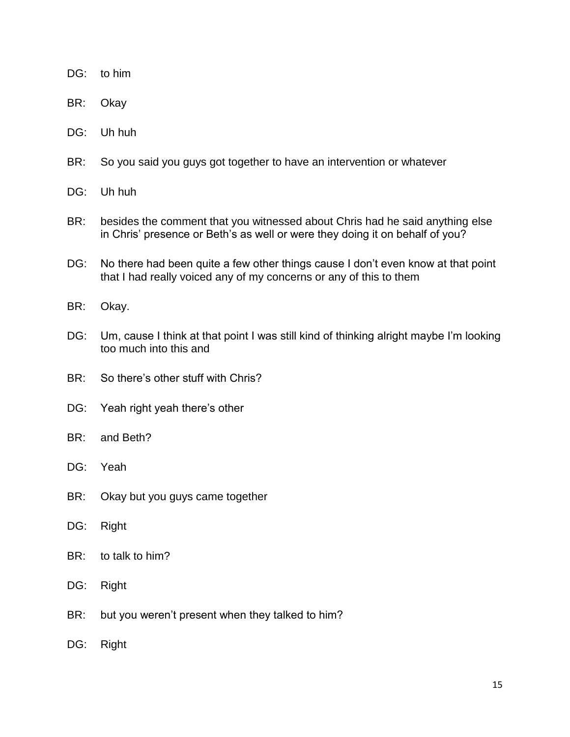- DG: to him
- BR: Okay
- DG: Uh huh
- BR: So you said you guys got together to have an intervention or whatever
- DG: Uh huh
- BR: besides the comment that you witnessed about Chris had he said anything else in Chris' presence or Beth's as well or were they doing it on behalf of you?
- DG: No there had been quite a few other things cause I don't even know at that point that I had really voiced any of my concerns or any of this to them
- BR: Okay.
- DG: Um, cause I think at that point I was still kind of thinking alright maybe I'm looking too much into this and
- BR: So there's other stuff with Chris?
- DG: Yeah right yeah there's other
- BR: and Beth?
- DG: Yeah
- BR: Okay but you guys came together
- DG: Right
- BR: to talk to him?
- DG: Right
- BR: but you weren't present when they talked to him?
- DG: Right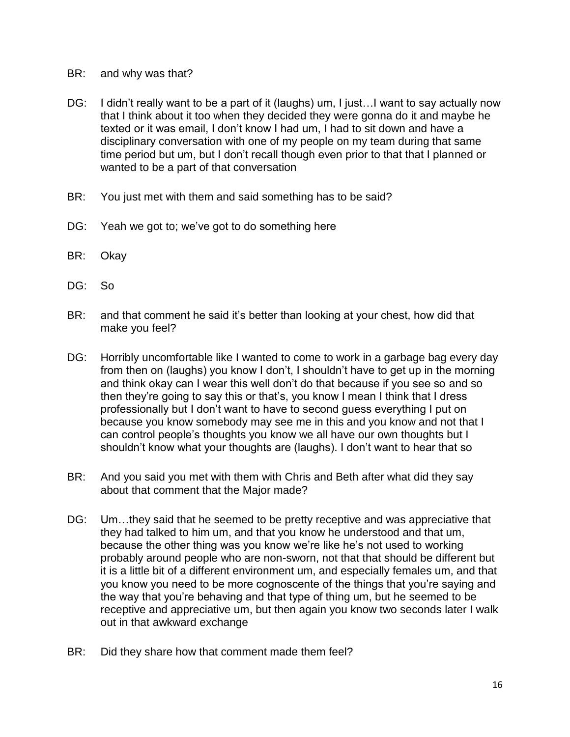- BR: and why was that?
- DG: I didn't really want to be a part of it (laughs) um, I just... I want to say actually now that I think about it too when they decided they were gonna do it and maybe he texted or it was email, I don't know I had um, I had to sit down and have a disciplinary conversation with one of my people on my team during that same time period but um, but I don't recall though even prior to that that I planned or wanted to be a part of that conversation
- BR: You just met with them and said something has to be said?
- DG: Yeah we got to; we've got to do something here
- BR: Okay
- DG: So
- BR: and that comment he said it's better than looking at your chest, how did that make you feel?
- DG: Horribly uncomfortable like I wanted to come to work in a garbage bag every day from then on (laughs) you know I don't, I shouldn't have to get up in the morning and think okay can I wear this well don't do that because if you see so and so then they're going to say this or that's, you know I mean I think that I dress professionally but I don't want to have to second guess everything I put on because you know somebody may see me in this and you know and not that I can control people's thoughts you know we all have our own thoughts but I shouldn't know what your thoughts are (laughs). I don't want to hear that so
- BR: And you said you met with them with Chris and Beth after what did they say about that comment that the Major made?
- DG: Um...they said that he seemed to be pretty receptive and was appreciative that they had talked to him um, and that you know he understood and that um, because the other thing was you know we're like he's not used to working probably around people who are non-sworn, not that that should be different but it is a little bit of a different environment um, and especially females um, and that you know you need to be more cognoscente of the things that you're saying and the way that you're behaving and that type of thing um, but he seemed to be receptive and appreciative um, but then again you know two seconds later I walk out in that awkward exchange
- BR: Did they share how that comment made them feel?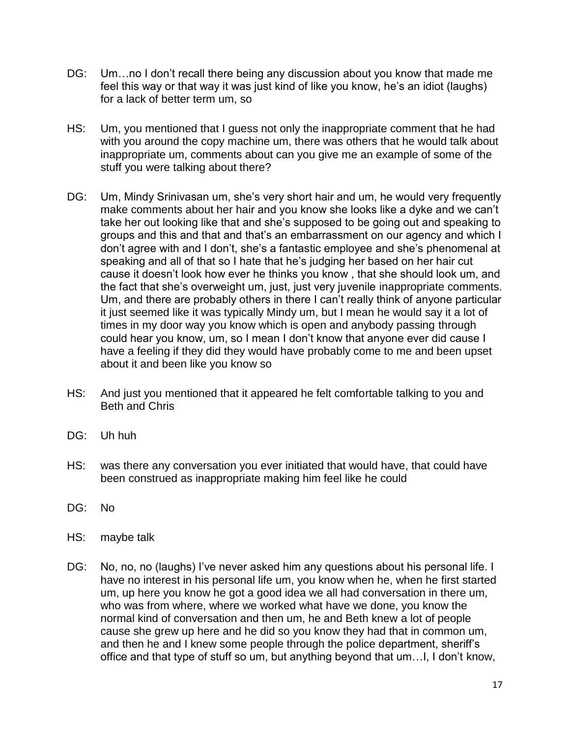- DG: Um…no I don't recall there being any discussion about you know that made me feel this way or that way it was just kind of like you know, he's an idiot (laughs) for a lack of better term um, so
- HS: Um, you mentioned that I guess not only the inappropriate comment that he had with you around the copy machine um, there was others that he would talk about inappropriate um, comments about can you give me an example of some of the stuff you were talking about there?
- DG: Um, Mindy Srinivasan um, she's very short hair and um, he would very frequently make comments about her hair and you know she looks like a dyke and we can't take her out looking like that and she's supposed to be going out and speaking to groups and this and that and that's an embarrassment on our agency and which I don't agree with and I don't, she's a fantastic employee and she's phenomenal at speaking and all of that so I hate that he's judging her based on her hair cut cause it doesn't look how ever he thinks you know , that she should look um, and the fact that she's overweight um, just, just very juvenile inappropriate comments. Um, and there are probably others in there I can't really think of anyone particular it just seemed like it was typically Mindy um, but I mean he would say it a lot of times in my door way you know which is open and anybody passing through could hear you know, um, so I mean I don't know that anyone ever did cause I have a feeling if they did they would have probably come to me and been upset about it and been like you know so
- HS: And just you mentioned that it appeared he felt comfortable talking to you and Beth and Chris
- DG: Uh huh
- HS: was there any conversation you ever initiated that would have, that could have been construed as inappropriate making him feel like he could
- DG: No
- HS: maybe talk
- DG: No, no, no (laughs) I've never asked him any questions about his personal life. I have no interest in his personal life um, you know when he, when he first started um, up here you know he got a good idea we all had conversation in there um, who was from where, where we worked what have we done, you know the normal kind of conversation and then um, he and Beth knew a lot of people cause she grew up here and he did so you know they had that in common um, and then he and I knew some people through the police department, sheriff's office and that type of stuff so um, but anything beyond that um…I, I don't know,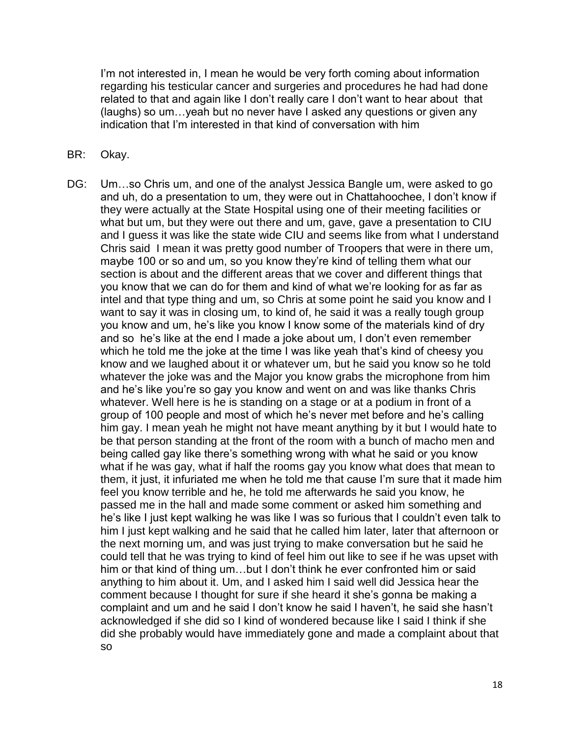I'm not interested in, I mean he would be very forth coming about information regarding his testicular cancer and surgeries and procedures he had had done related to that and again like I don't really care I don't want to hear about that (laughs) so um…yeah but no never have I asked any questions or given any indication that I'm interested in that kind of conversation with him

- BR: Okay.
- DG: Um…so Chris um, and one of the analyst Jessica Bangle um, were asked to go and uh, do a presentation to um, they were out in Chattahoochee, I don't know if they were actually at the State Hospital using one of their meeting facilities or what but um, but they were out there and um, gave, gave a presentation to CIU and I guess it was like the state wide CIU and seems like from what I understand Chris said I mean it was pretty good number of Troopers that were in there um, maybe 100 or so and um, so you know they're kind of telling them what our section is about and the different areas that we cover and different things that you know that we can do for them and kind of what we're looking for as far as intel and that type thing and um, so Chris at some point he said you know and I want to say it was in closing um, to kind of, he said it was a really tough group you know and um, he's like you know I know some of the materials kind of dry and so he's like at the end I made a joke about um, I don't even remember which he told me the joke at the time I was like yeah that's kind of cheesy you know and we laughed about it or whatever um, but he said you know so he told whatever the joke was and the Major you know grabs the microphone from him and he's like you're so gay you know and went on and was like thanks Chris whatever. Well here is he is standing on a stage or at a podium in front of a group of 100 people and most of which he's never met before and he's calling him gay. I mean yeah he might not have meant anything by it but I would hate to be that person standing at the front of the room with a bunch of macho men and being called gay like there's something wrong with what he said or you know what if he was gay, what if half the rooms gay you know what does that mean to them, it just, it infuriated me when he told me that cause I'm sure that it made him feel you know terrible and he, he told me afterwards he said you know, he passed me in the hall and made some comment or asked him something and he's like I just kept walking he was like I was so furious that I couldn't even talk to him I just kept walking and he said that he called him later, later that afternoon or the next morning um, and was just trying to make conversation but he said he could tell that he was trying to kind of feel him out like to see if he was upset with him or that kind of thing um…but I don't think he ever confronted him or said anything to him about it. Um, and I asked him I said well did Jessica hear the comment because I thought for sure if she heard it she's gonna be making a complaint and um and he said I don't know he said I haven't, he said she hasn't acknowledged if she did so I kind of wondered because like I said I think if she did she probably would have immediately gone and made a complaint about that so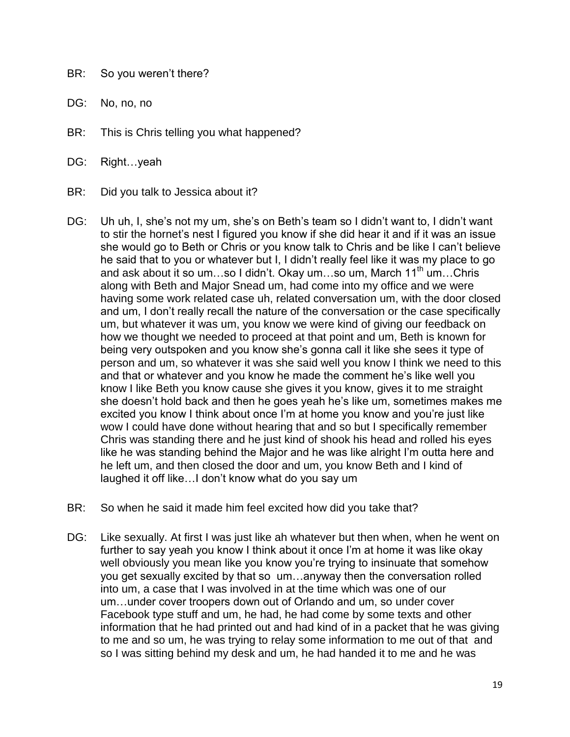- BR: So you weren't there?
- DG: No, no, no
- BR: This is Chris telling you what happened?
- DG: Right...yeah
- BR: Did you talk to Jessica about it?
- DG: Uh uh, I, she's not my um, she's on Beth's team so I didn't want to, I didn't want to stir the hornet's nest I figured you know if she did hear it and if it was an issue she would go to Beth or Chris or you know talk to Chris and be like I can't believe he said that to you or whatever but I, I didn't really feel like it was my place to go and ask about it so um...so I didn't. Okay um...so um, March 11<sup>th</sup> um...Chris along with Beth and Major Snead um, had come into my office and we were having some work related case uh, related conversation um, with the door closed and um, I don't really recall the nature of the conversation or the case specifically um, but whatever it was um, you know we were kind of giving our feedback on how we thought we needed to proceed at that point and um, Beth is known for being very outspoken and you know she's gonna call it like she sees it type of person and um, so whatever it was she said well you know I think we need to this and that or whatever and you know he made the comment he's like well you know I like Beth you know cause she gives it you know, gives it to me straight she doesn't hold back and then he goes yeah he's like um, sometimes makes me excited you know I think about once I'm at home you know and you're just like wow I could have done without hearing that and so but I specifically remember Chris was standing there and he just kind of shook his head and rolled his eyes like he was standing behind the Major and he was like alright I'm outta here and he left um, and then closed the door and um, you know Beth and I kind of laughed it off like…I don't know what do you say um
- BR: So when he said it made him feel excited how did you take that?
- DG: Like sexually. At first I was just like ah whatever but then when, when he went on further to say yeah you know I think about it once I'm at home it was like okay well obviously you mean like you know you're trying to insinuate that somehow you get sexually excited by that so um…anyway then the conversation rolled into um, a case that I was involved in at the time which was one of our um…under cover troopers down out of Orlando and um, so under cover Facebook type stuff and um, he had, he had come by some texts and other information that he had printed out and had kind of in a packet that he was giving to me and so um, he was trying to relay some information to me out of that and so I was sitting behind my desk and um, he had handed it to me and he was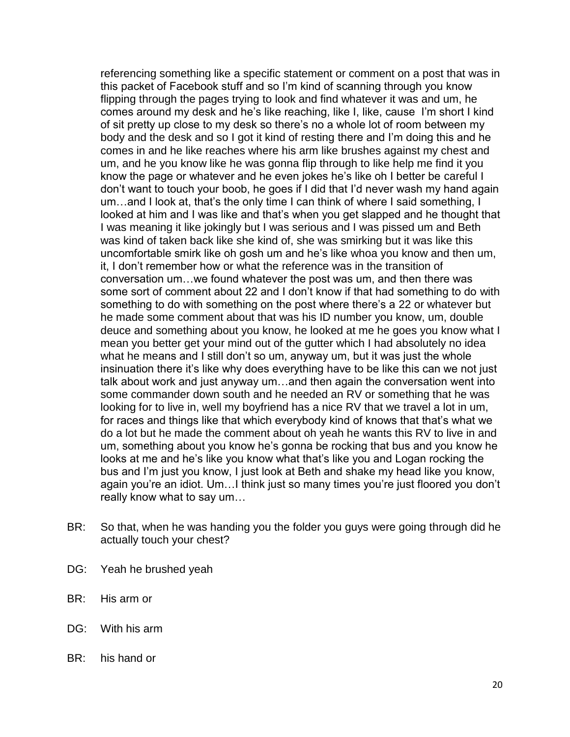referencing something like a specific statement or comment on a post that was in this packet of Facebook stuff and so I'm kind of scanning through you know flipping through the pages trying to look and find whatever it was and um, he comes around my desk and he's like reaching, like I, like, cause I'm short I kind of sit pretty up close to my desk so there's no a whole lot of room between my body and the desk and so I got it kind of resting there and I'm doing this and he comes in and he like reaches where his arm like brushes against my chest and um, and he you know like he was gonna flip through to like help me find it you know the page or whatever and he even jokes he's like oh I better be careful I don't want to touch your boob, he goes if I did that I'd never wash my hand again um…and I look at, that's the only time I can think of where I said something, I looked at him and I was like and that's when you get slapped and he thought that I was meaning it like jokingly but I was serious and I was pissed um and Beth was kind of taken back like she kind of, she was smirking but it was like this uncomfortable smirk like oh gosh um and he's like whoa you know and then um, it, I don't remember how or what the reference was in the transition of conversation um…we found whatever the post was um, and then there was some sort of comment about 22 and I don't know if that had something to do with something to do with something on the post where there's a 22 or whatever but he made some comment about that was his ID number you know, um, double deuce and something about you know, he looked at me he goes you know what I mean you better get your mind out of the gutter which I had absolutely no idea what he means and I still don't so um, anyway um, but it was just the whole insinuation there it's like why does everything have to be like this can we not just talk about work and just anyway um…and then again the conversation went into some commander down south and he needed an RV or something that he was looking for to live in, well my boyfriend has a nice RV that we travel a lot in um, for races and things like that which everybody kind of knows that that's what we do a lot but he made the comment about oh yeah he wants this RV to live in and um, something about you know he's gonna be rocking that bus and you know he looks at me and he's like you know what that's like you and Logan rocking the bus and I'm just you know, I just look at Beth and shake my head like you know, again you're an idiot. Um…I think just so many times you're just floored you don't really know what to say um…

- BR: So that, when he was handing you the folder you guys were going through did he actually touch your chest?
- DG: Yeah he brushed yeah
- BR: His arm or
- DG: With his arm
- BR: his hand or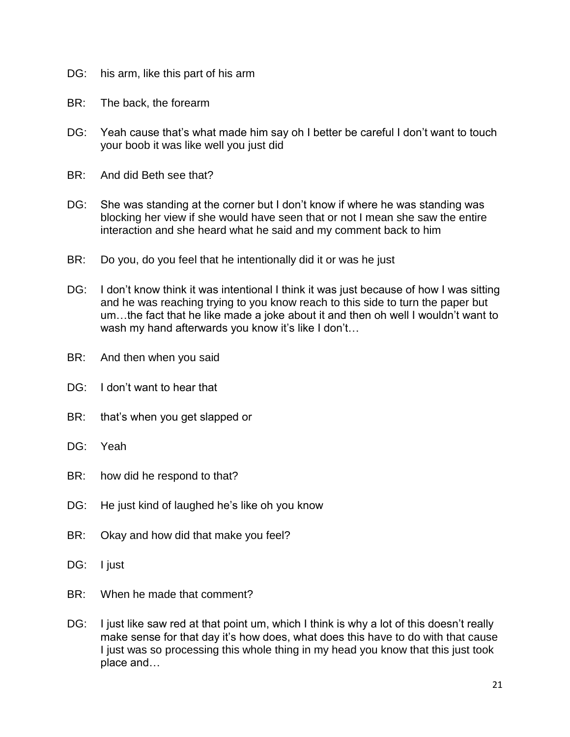- DG: his arm, like this part of his arm
- BR: The back, the forearm
- DG: Yeah cause that's what made him say oh I better be careful I don't want to touch your boob it was like well you just did
- BR: And did Beth see that?
- DG: She was standing at the corner but I don't know if where he was standing was blocking her view if she would have seen that or not I mean she saw the entire interaction and she heard what he said and my comment back to him
- BR: Do you, do you feel that he intentionally did it or was he just
- DG: I don't know think it was intentional I think it was just because of how I was sitting and he was reaching trying to you know reach to this side to turn the paper but um…the fact that he like made a joke about it and then oh well I wouldn't want to wash my hand afterwards you know it's like I don't...
- BR: And then when you said
- DG: I don't want to hear that
- BR: that's when you get slapped or
- DG: Yeah
- BR: how did he respond to that?
- DG: He just kind of laughed he's like oh you know
- BR: Okay and how did that make you feel?
- DG: l just
- BR: When he made that comment?
- DG: I just like saw red at that point um, which I think is why a lot of this doesn't really make sense for that day it's how does, what does this have to do with that cause I just was so processing this whole thing in my head you know that this just took place and…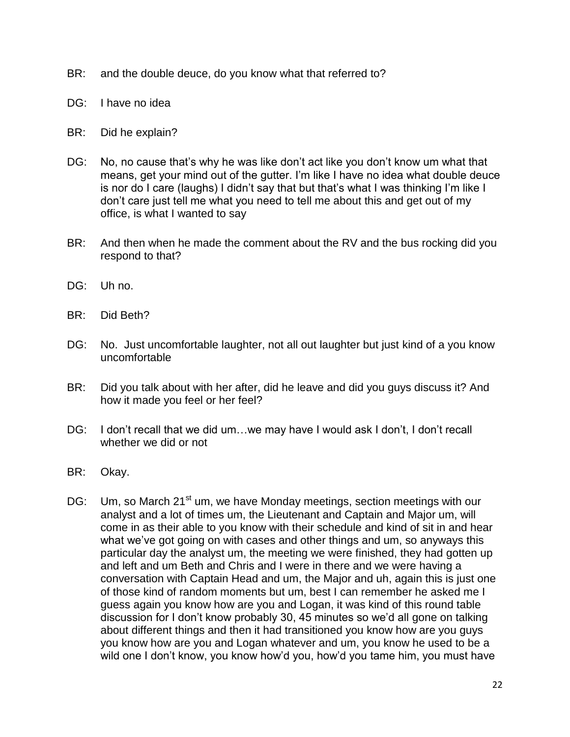- BR: and the double deuce, do you know what that referred to?
- DG: I have no idea
- BR: Did he explain?
- DG: No, no cause that's why he was like don't act like you don't know um what that means, get your mind out of the gutter. I'm like I have no idea what double deuce is nor do I care (laughs) I didn't say that but that's what I was thinking I'm like I don't care just tell me what you need to tell me about this and get out of my office, is what I wanted to say
- BR: And then when he made the comment about the RV and the bus rocking did you respond to that?
- DG: Uh no.
- BR: Did Beth?
- DG: No. Just uncomfortable laughter, not all out laughter but just kind of a you know uncomfortable
- BR: Did you talk about with her after, did he leave and did you guys discuss it? And how it made you feel or her feel?
- DG: I don't recall that we did um...we may have I would ask I don't, I don't recall whether we did or not
- BR: Okay.
- DG: Um, so March 21<sup>st</sup> um, we have Monday meetings, section meetings with our analyst and a lot of times um, the Lieutenant and Captain and Major um, will come in as their able to you know with their schedule and kind of sit in and hear what we've got going on with cases and other things and um, so anyways this particular day the analyst um, the meeting we were finished, they had gotten up and left and um Beth and Chris and I were in there and we were having a conversation with Captain Head and um, the Major and uh, again this is just one of those kind of random moments but um, best I can remember he asked me I guess again you know how are you and Logan, it was kind of this round table discussion for I don't know probably 30, 45 minutes so we'd all gone on talking about different things and then it had transitioned you know how are you guys you know how are you and Logan whatever and um, you know he used to be a wild one I don't know, you know how'd you, how'd you tame him, you must have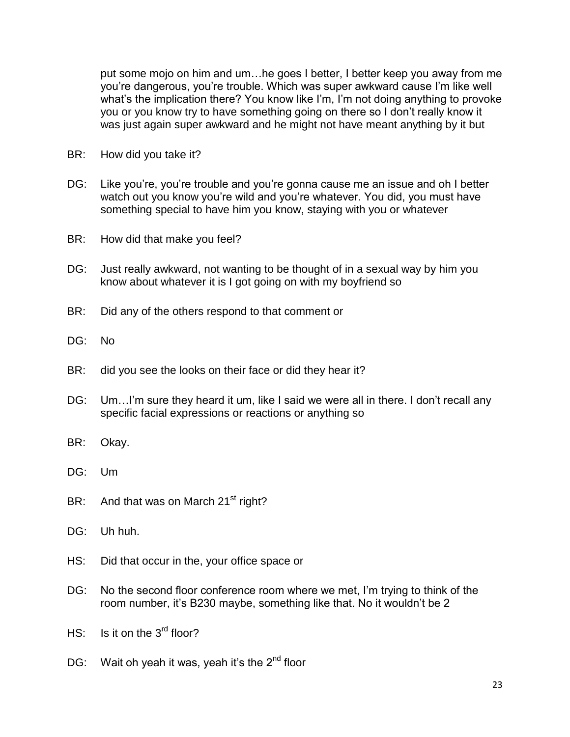put some mojo on him and um…he goes I better, I better keep you away from me you're dangerous, you're trouble. Which was super awkward cause I'm like well what's the implication there? You know like I'm, I'm not doing anything to provoke you or you know try to have something going on there so I don't really know it was just again super awkward and he might not have meant anything by it but

- BR: How did you take it?
- DG: Like you're, you're trouble and you're gonna cause me an issue and oh I better watch out you know you're wild and you're whatever. You did, you must have something special to have him you know, staying with you or whatever
- BR: How did that make you feel?
- DG: Just really awkward, not wanting to be thought of in a sexual way by him you know about whatever it is I got going on with my boyfriend so
- BR: Did any of the others respond to that comment or
- DG: No
- BR: did you see the looks on their face or did they hear it?
- DG: Um...I'm sure they heard it um, like I said we were all in there. I don't recall any specific facial expressions or reactions or anything so
- BR: Okay.
- DG: Um
- BR: And that was on March  $21<sup>st</sup>$  right?
- DG: Uh huh.
- HS: Did that occur in the, your office space or
- DG: No the second floor conference room where we met, I'm trying to think of the room number, it's B230 maybe, something like that. No it wouldn't be 2
- $HS:$  Is it on the  $3<sup>rd</sup>$  floor?
- DG: Wait oh yeah it was, yeah it's the  $2^{nd}$  floor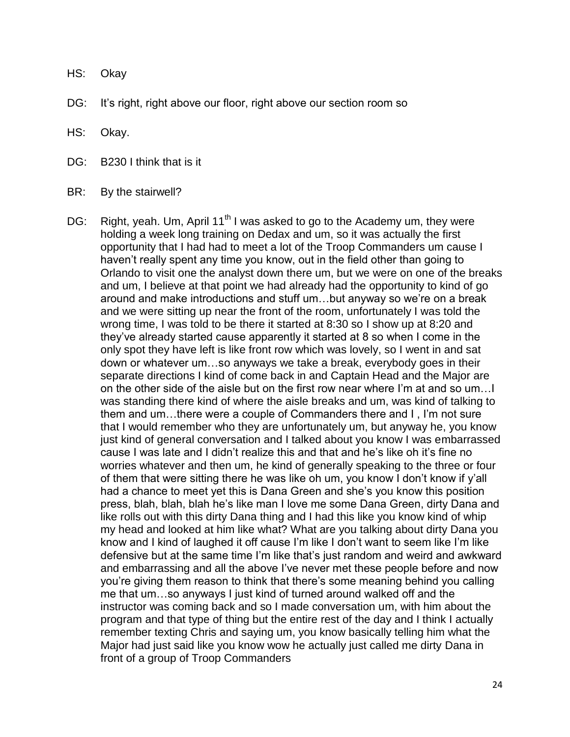- HS: Okay
- DG: It's right, right above our floor, right above our section room so
- HS: Okay.
- DG: B230 I think that is it
- BR: By the stairwell?
- DG: Right, yeah. Um, April 11<sup>th</sup> I was asked to go to the Academy um, they were holding a week long training on Dedax and um, so it was actually the first opportunity that I had had to meet a lot of the Troop Commanders um cause I haven't really spent any time you know, out in the field other than going to Orlando to visit one the analyst down there um, but we were on one of the breaks and um, I believe at that point we had already had the opportunity to kind of go around and make introductions and stuff um…but anyway so we're on a break and we were sitting up near the front of the room, unfortunately I was told the wrong time, I was told to be there it started at 8:30 so I show up at 8:20 and they've already started cause apparently it started at 8 so when I come in the only spot they have left is like front row which was lovely, so I went in and sat down or whatever um…so anyways we take a break, everybody goes in their separate directions I kind of come back in and Captain Head and the Major are on the other side of the aisle but on the first row near where I'm at and so um…I was standing there kind of where the aisle breaks and um, was kind of talking to them and um…there were a couple of Commanders there and I , I'm not sure that I would remember who they are unfortunately um, but anyway he, you know just kind of general conversation and I talked about you know I was embarrassed cause I was late and I didn't realize this and that and he's like oh it's fine no worries whatever and then um, he kind of generally speaking to the three or four of them that were sitting there he was like oh um, you know I don't know if y'all had a chance to meet yet this is Dana Green and she's you know this position press, blah, blah, blah he's like man I love me some Dana Green, dirty Dana and like rolls out with this dirty Dana thing and I had this like you know kind of whip my head and looked at him like what? What are you talking about dirty Dana you know and I kind of laughed it off cause I'm like I don't want to seem like I'm like defensive but at the same time I'm like that's just random and weird and awkward and embarrassing and all the above I've never met these people before and now you're giving them reason to think that there's some meaning behind you calling me that um…so anyways I just kind of turned around walked off and the instructor was coming back and so I made conversation um, with him about the program and that type of thing but the entire rest of the day and I think I actually remember texting Chris and saying um, you know basically telling him what the Major had just said like you know wow he actually just called me dirty Dana in front of a group of Troop Commanders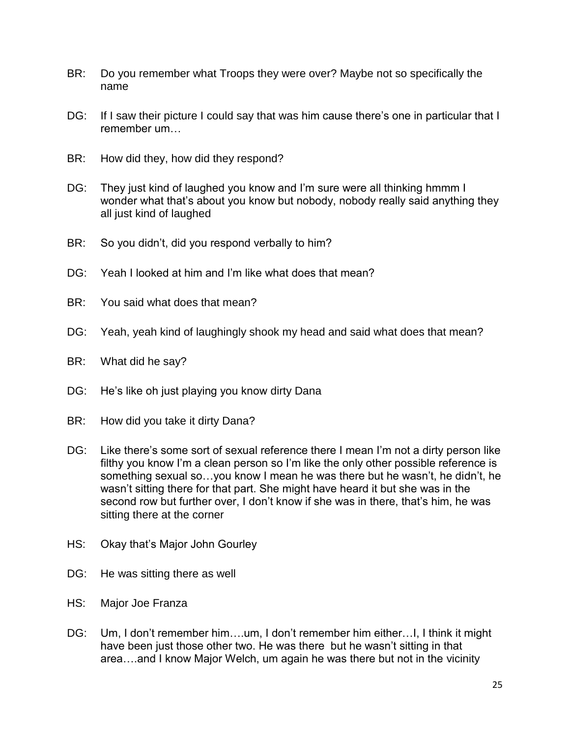- BR: Do you remember what Troops they were over? Maybe not so specifically the name
- DG: If I saw their picture I could say that was him cause there's one in particular that I remember um…
- BR: How did they, how did they respond?
- DG: They just kind of laughed you know and I'm sure were all thinking hmmm I wonder what that's about you know but nobody, nobody really said anything they all just kind of laughed
- BR: So you didn't, did you respond verbally to him?
- DG: Yeah I looked at him and I'm like what does that mean?
- BR: You said what does that mean?
- DG: Yeah, yeah kind of laughingly shook my head and said what does that mean?
- BR: What did he say?
- DG: He's like oh just playing you know dirty Dana
- BR: How did you take it dirty Dana?
- DG: Like there's some sort of sexual reference there I mean I'm not a dirty person like filthy you know I'm a clean person so I'm like the only other possible reference is something sexual so…you know I mean he was there but he wasn't, he didn't, he wasn't sitting there for that part. She might have heard it but she was in the second row but further over, I don't know if she was in there, that's him, he was sitting there at the corner
- HS: Okay that's Major John Gourley
- DG: He was sitting there as well
- HS: Major Joe Franza
- DG: Um, I don't remember him….um, I don't remember him either…I, I think it might have been just those other two. He was there but he wasn't sitting in that area….and I know Major Welch, um again he was there but not in the vicinity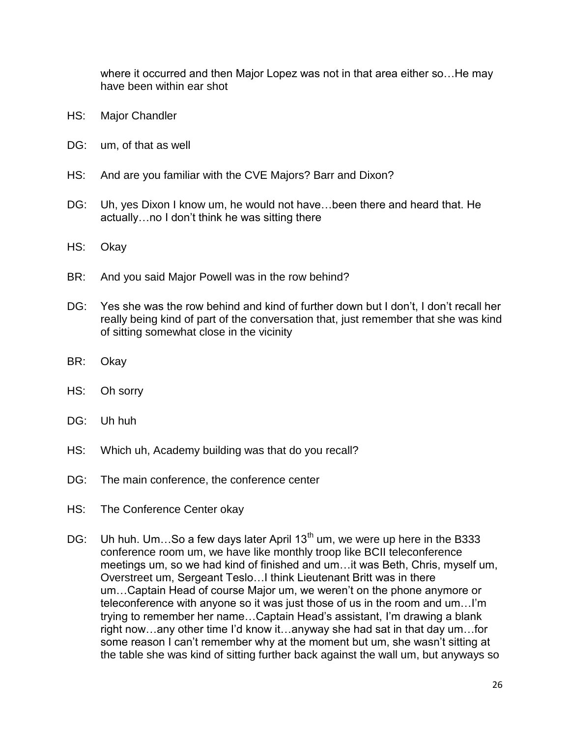where it occurred and then Major Lopez was not in that area either so…He may have been within ear shot

- HS: Major Chandler
- DG: um, of that as well
- HS: And are you familiar with the CVE Majors? Barr and Dixon?
- DG: Uh, yes Dixon I know um, he would not have…been there and heard that. He actually…no I don't think he was sitting there
- HS: Okay
- BR: And you said Major Powell was in the row behind?
- DG: Yes she was the row behind and kind of further down but I don't, I don't recall her really being kind of part of the conversation that, just remember that she was kind of sitting somewhat close in the vicinity
- BR: Okay
- HS: Oh sorry
- DG: Uh huh
- HS: Which uh, Academy building was that do you recall?
- DG: The main conference, the conference center
- HS: The Conference Center okay
- DG: Uh huh. Um...So a few days later April  $13<sup>th</sup>$  um, we were up here in the B333 conference room um, we have like monthly troop like BCII teleconference meetings um, so we had kind of finished and um…it was Beth, Chris, myself um, Overstreet um, Sergeant Teslo…I think Lieutenant Britt was in there um…Captain Head of course Major um, we weren't on the phone anymore or teleconference with anyone so it was just those of us in the room and um…I'm trying to remember her name…Captain Head's assistant, I'm drawing a blank right now…any other time I'd know it…anyway she had sat in that day um…for some reason I can't remember why at the moment but um, she wasn't sitting at the table she was kind of sitting further back against the wall um, but anyways so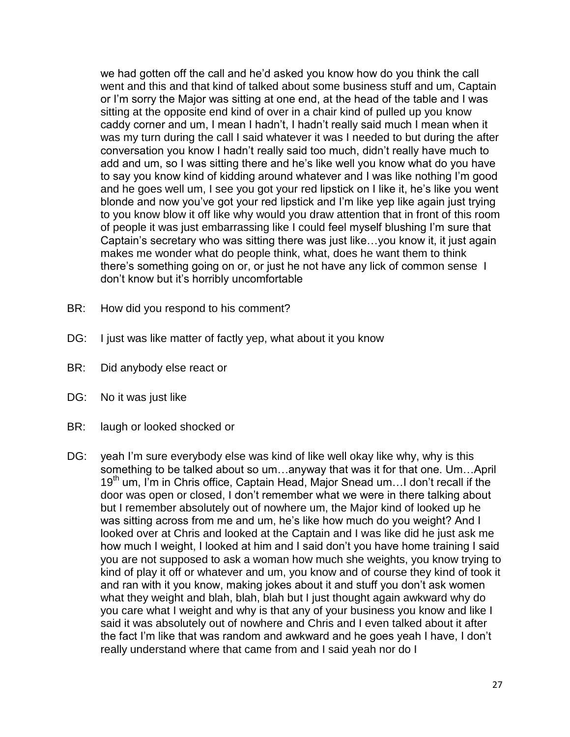we had gotten off the call and he'd asked you know how do you think the call went and this and that kind of talked about some business stuff and um, Captain or I'm sorry the Major was sitting at one end, at the head of the table and I was sitting at the opposite end kind of over in a chair kind of pulled up you know caddy corner and um, I mean I hadn't, I hadn't really said much I mean when it was my turn during the call I said whatever it was I needed to but during the after conversation you know I hadn't really said too much, didn't really have much to add and um, so I was sitting there and he's like well you know what do you have to say you know kind of kidding around whatever and I was like nothing I'm good and he goes well um, I see you got your red lipstick on I like it, he's like you went blonde and now you've got your red lipstick and I'm like yep like again just trying to you know blow it off like why would you draw attention that in front of this room of people it was just embarrassing like I could feel myself blushing I'm sure that Captain's secretary who was sitting there was just like…you know it, it just again makes me wonder what do people think, what, does he want them to think there's something going on or, or just he not have any lick of common sense I don't know but it's horribly uncomfortable

- BR: How did you respond to his comment?
- DG: I just was like matter of factly yep, what about it you know
- BR: Did anybody else react or
- DG: No it was just like
- BR: laugh or looked shocked or
- DG: yeah I'm sure everybody else was kind of like well okay like why, why is this something to be talked about so um…anyway that was it for that one. Um…April 19<sup>th</sup> um, I'm in Chris office, Captain Head, Major Snead um... I don't recall if the door was open or closed, I don't remember what we were in there talking about but I remember absolutely out of nowhere um, the Major kind of looked up he was sitting across from me and um, he's like how much do you weight? And I looked over at Chris and looked at the Captain and I was like did he just ask me how much I weight, I looked at him and I said don't you have home training I said you are not supposed to ask a woman how much she weights, you know trying to kind of play it off or whatever and um, you know and of course they kind of took it and ran with it you know, making jokes about it and stuff you don't ask women what they weight and blah, blah, blah but I just thought again awkward why do you care what I weight and why is that any of your business you know and like I said it was absolutely out of nowhere and Chris and I even talked about it after the fact I'm like that was random and awkward and he goes yeah I have, I don't really understand where that came from and I said yeah nor do I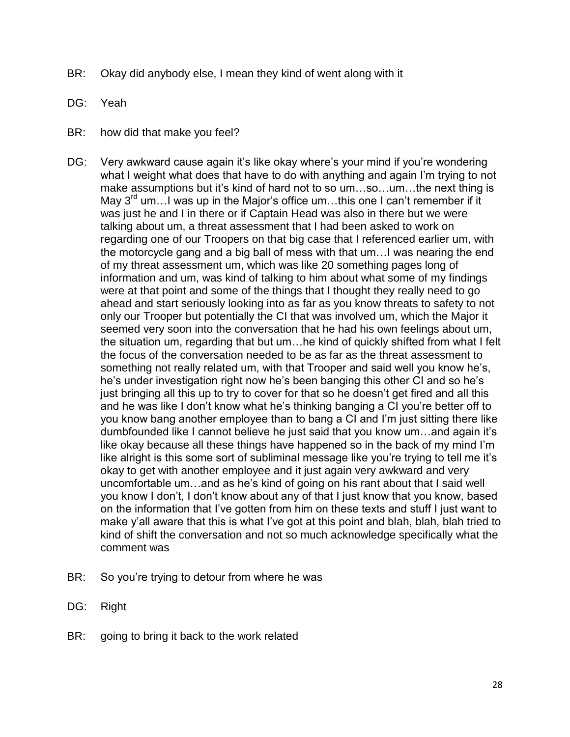- BR: Okay did anybody else, I mean they kind of went along with it
- DG: Yeah
- BR: how did that make you feel?
- DG: Very awkward cause again it's like okay where's your mind if you're wondering what I weight what does that have to do with anything and again I'm trying to not make assumptions but it's kind of hard not to so um…so…um…the next thing is May  $3^{rd}$  um... I was up in the Major's office um...this one I can't remember if it was just he and I in there or if Captain Head was also in there but we were talking about um, a threat assessment that I had been asked to work on regarding one of our Troopers on that big case that I referenced earlier um, with the motorcycle gang and a big ball of mess with that um…I was nearing the end of my threat assessment um, which was like 20 something pages long of information and um, was kind of talking to him about what some of my findings were at that point and some of the things that I thought they really need to go ahead and start seriously looking into as far as you know threats to safety to not only our Trooper but potentially the CI that was involved um, which the Major it seemed very soon into the conversation that he had his own feelings about um, the situation um, regarding that but um…he kind of quickly shifted from what I felt the focus of the conversation needed to be as far as the threat assessment to something not really related um, with that Trooper and said well you know he's, he's under investigation right now he's been banging this other CI and so he's just bringing all this up to try to cover for that so he doesn't get fired and all this and he was like I don't know what he's thinking banging a CI you're better off to you know bang another employee than to bang a CI and I'm just sitting there like dumbfounded like I cannot believe he just said that you know um…and again it's like okay because all these things have happened so in the back of my mind I'm like alright is this some sort of subliminal message like you're trying to tell me it's okay to get with another employee and it just again very awkward and very uncomfortable um…and as he's kind of going on his rant about that I said well you know I don't, I don't know about any of that I just know that you know, based on the information that I've gotten from him on these texts and stuff I just want to make y'all aware that this is what I've got at this point and blah, blah, blah tried to kind of shift the conversation and not so much acknowledge specifically what the comment was
- BR: So you're trying to detour from where he was
- DG: Right
- BR: going to bring it back to the work related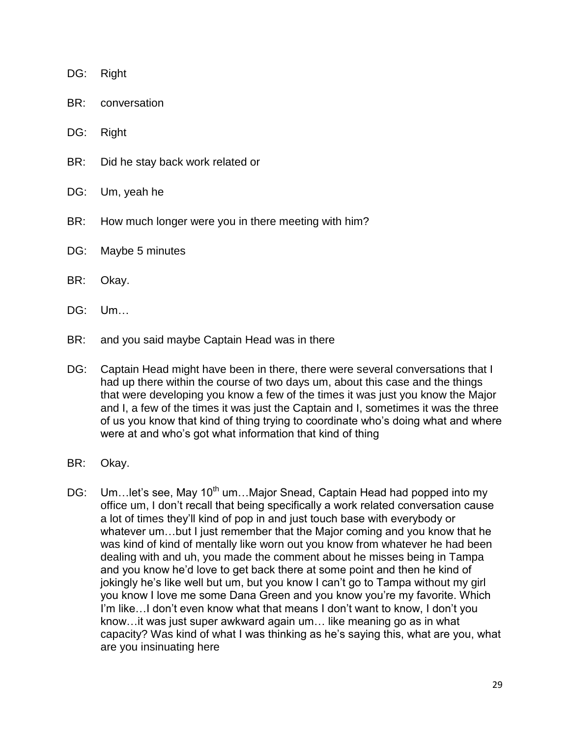- DG: Right
- BR: conversation
- DG: Right
- BR: Did he stay back work related or
- DG: Um, yeah he
- BR: How much longer were you in there meeting with him?
- DG: Maybe 5 minutes
- BR: Okay.
- DG: Um…
- BR: and you said maybe Captain Head was in there
- DG: Captain Head might have been in there, there were several conversations that I had up there within the course of two days um, about this case and the things that were developing you know a few of the times it was just you know the Major and I, a few of the times it was just the Captain and I, sometimes it was the three of us you know that kind of thing trying to coordinate who's doing what and where were at and who's got what information that kind of thing
- BR: Okay.
- DG: Um...let's see, May 10<sup>th</sup> um...Major Snead, Captain Head had popped into my office um, I don't recall that being specifically a work related conversation cause a lot of times they'll kind of pop in and just touch base with everybody or whatever um…but I just remember that the Major coming and you know that he was kind of kind of mentally like worn out you know from whatever he had been dealing with and uh, you made the comment about he misses being in Tampa and you know he'd love to get back there at some point and then he kind of jokingly he's like well but um, but you know I can't go to Tampa without my girl you know I love me some Dana Green and you know you're my favorite. Which I'm like…I don't even know what that means I don't want to know, I don't you know…it was just super awkward again um… like meaning go as in what capacity? Was kind of what I was thinking as he's saying this, what are you, what are you insinuating here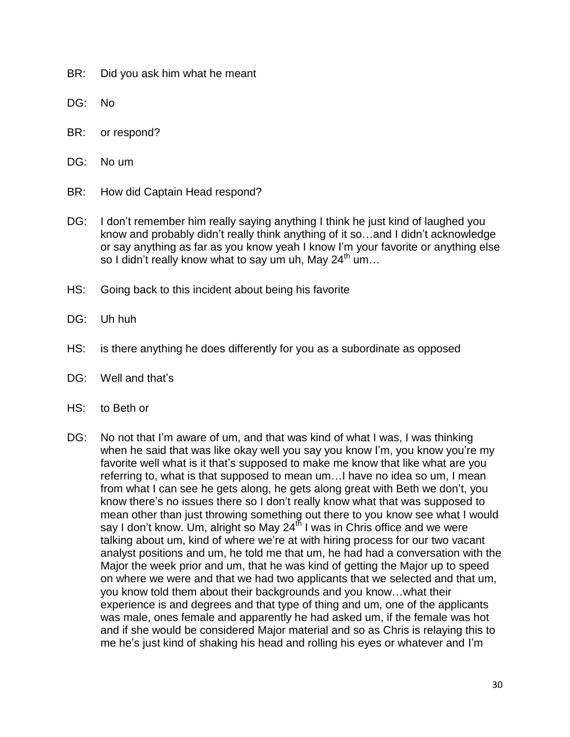- BR: Did you ask him what he meant
- DG: No
- BR: or respond?
- DG: No um
- BR: How did Captain Head respond?
- DG: I don't remember him really saying anything I think he just kind of laughed you know and probably didn't really think anything of it so…and I didn't acknowledge or say anything as far as you know yeah I know I'm your favorite or anything else so I didn't really know what to say um uh, May 24<sup>th</sup> um...
- HS: Going back to this incident about being his favorite
- DG: Uh huh
- HS: is there anything he does differently for you as a subordinate as opposed
- DG: Well and that's
- HS: to Beth or
- DG: No not that I'm aware of um, and that was kind of what I was, I was thinking when he said that was like okay well you say you know I'm, you know you're my favorite well what is it that's supposed to make me know that like what are you referring to, what is that supposed to mean um…I have no idea so um, I mean from what I can see he gets along, he gets along great with Beth we don't, you know there's no issues there so I don't really know what that was supposed to mean other than just throwing something out there to you know see what I would say I don't know. Um, alright so May  $24<sup>th</sup>$  I was in Chris office and we were talking about um, kind of where we're at with hiring process for our two vacant analyst positions and um, he told me that um, he had had a conversation with the Major the week prior and um, that he was kind of getting the Major up to speed on where we were and that we had two applicants that we selected and that um, you know told them about their backgrounds and you know…what their experience is and degrees and that type of thing and um, one of the applicants was male, ones female and apparently he had asked um, if the female was hot and if she would be considered Major material and so as Chris is relaying this to me he's just kind of shaking his head and rolling his eyes or whatever and I'm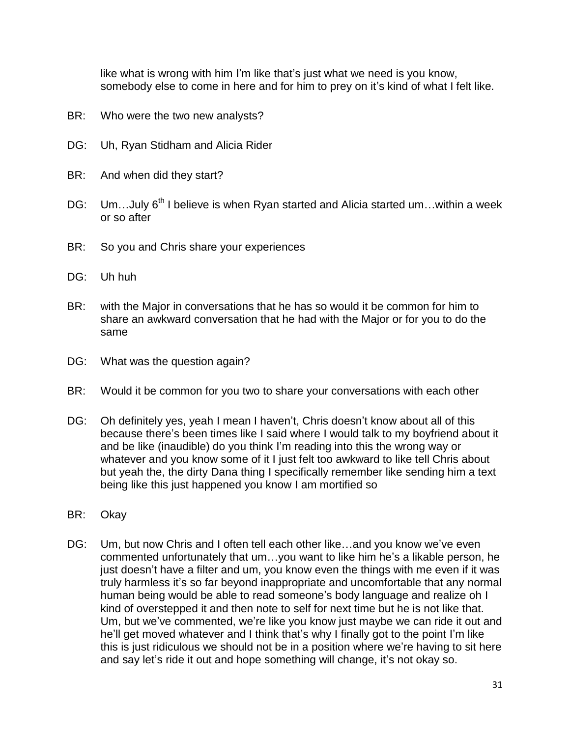like what is wrong with him I'm like that's just what we need is you know, somebody else to come in here and for him to prey on it's kind of what I felt like.

- BR: Who were the two new analysts?
- DG: Uh, Ryan Stidham and Alicia Rider
- BR: And when did they start?
- DG: Um...July 6<sup>th</sup> I believe is when Ryan started and Alicia started um...within a week or so after
- BR: So you and Chris share your experiences
- DG: Uh huh
- BR: with the Major in conversations that he has so would it be common for him to share an awkward conversation that he had with the Major or for you to do the same
- DG: What was the question again?
- BR: Would it be common for you two to share your conversations with each other
- DG: Oh definitely yes, yeah I mean I haven't, Chris doesn't know about all of this because there's been times like I said where I would talk to my boyfriend about it and be like (inaudible) do you think I'm reading into this the wrong way or whatever and you know some of it I just felt too awkward to like tell Chris about but yeah the, the dirty Dana thing I specifically remember like sending him a text being like this just happened you know I am mortified so
- BR: Okay
- DG: Um, but now Chris and I often tell each other like…and you know we've even commented unfortunately that um…you want to like him he's a likable person, he just doesn't have a filter and um, you know even the things with me even if it was truly harmless it's so far beyond inappropriate and uncomfortable that any normal human being would be able to read someone's body language and realize oh I kind of overstepped it and then note to self for next time but he is not like that. Um, but we've commented, we're like you know just maybe we can ride it out and he'll get moved whatever and I think that's why I finally got to the point I'm like this is just ridiculous we should not be in a position where we're having to sit here and say let's ride it out and hope something will change, it's not okay so.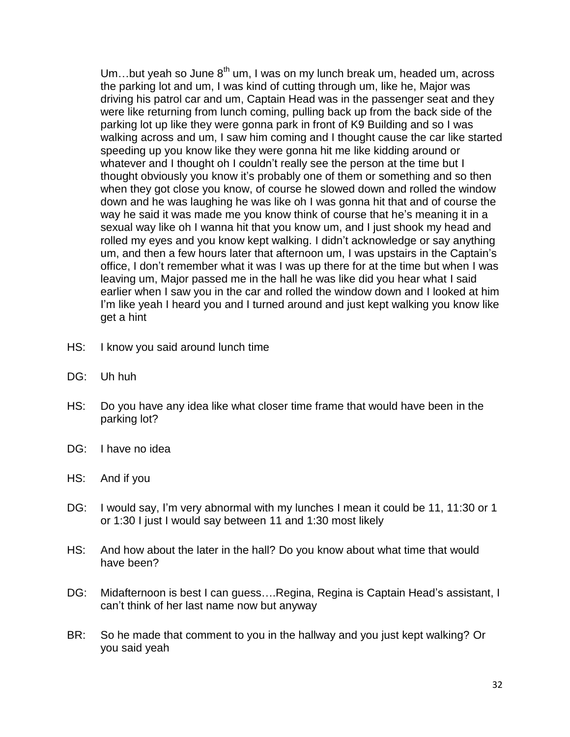Um...but yeah so June  $8<sup>th</sup>$  um, I was on my lunch break um, headed um, across the parking lot and um, I was kind of cutting through um, like he, Major was driving his patrol car and um, Captain Head was in the passenger seat and they were like returning from lunch coming, pulling back up from the back side of the parking lot up like they were gonna park in front of K9 Building and so I was walking across and um, I saw him coming and I thought cause the car like started speeding up you know like they were gonna hit me like kidding around or whatever and I thought oh I couldn't really see the person at the time but I thought obviously you know it's probably one of them or something and so then when they got close you know, of course he slowed down and rolled the window down and he was laughing he was like oh I was gonna hit that and of course the way he said it was made me you know think of course that he's meaning it in a sexual way like oh I wanna hit that you know um, and I just shook my head and rolled my eyes and you know kept walking. I didn't acknowledge or say anything um, and then a few hours later that afternoon um, I was upstairs in the Captain's office, I don't remember what it was I was up there for at the time but when I was leaving um, Major passed me in the hall he was like did you hear what I said earlier when I saw you in the car and rolled the window down and I looked at him I'm like yeah I heard you and I turned around and just kept walking you know like get a hint

- HS: I know you said around lunch time
- DG: Uh huh
- HS: Do you have any idea like what closer time frame that would have been in the parking lot?
- DG: I have no idea
- HS: And if you
- DG: I would say, I'm very abnormal with my lunches I mean it could be 11, 11:30 or 1 or 1:30 I just I would say between 11 and 1:30 most likely
- HS: And how about the later in the hall? Do you know about what time that would have been?
- DG: Midafternoon is best I can guess….Regina, Regina is Captain Head's assistant, I can't think of her last name now but anyway
- BR: So he made that comment to you in the hallway and you just kept walking? Or you said yeah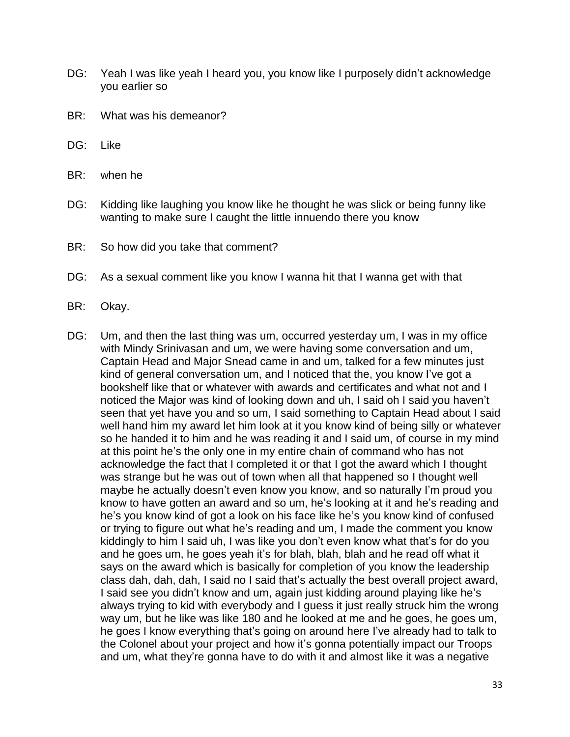- DG: Yeah I was like yeah I heard you, you know like I purposely didn't acknowledge you earlier so
- BR: What was his demeanor?
- DG: Like
- BR: when he
- DG: Kidding like laughing you know like he thought he was slick or being funny like wanting to make sure I caught the little innuendo there you know
- BR: So how did you take that comment?
- DG: As a sexual comment like you know I wanna hit that I wanna get with that
- BR: Okay.
- DG: Um, and then the last thing was um, occurred yesterday um, I was in my office with Mindy Srinivasan and um, we were having some conversation and um, Captain Head and Major Snead came in and um, talked for a few minutes just kind of general conversation um, and I noticed that the, you know I've got a bookshelf like that or whatever with awards and certificates and what not and I noticed the Major was kind of looking down and uh, I said oh I said you haven't seen that yet have you and so um, I said something to Captain Head about I said well hand him my award let him look at it you know kind of being silly or whatever so he handed it to him and he was reading it and I said um, of course in my mind at this point he's the only one in my entire chain of command who has not acknowledge the fact that I completed it or that I got the award which I thought was strange but he was out of town when all that happened so I thought well maybe he actually doesn't even know you know, and so naturally I'm proud you know to have gotten an award and so um, he's looking at it and he's reading and he's you know kind of got a look on his face like he's you know kind of confused or trying to figure out what he's reading and um, I made the comment you know kiddingly to him I said uh, I was like you don't even know what that's for do you and he goes um, he goes yeah it's for blah, blah, blah and he read off what it says on the award which is basically for completion of you know the leadership class dah, dah, dah, I said no I said that's actually the best overall project award, I said see you didn't know and um, again just kidding around playing like he's always trying to kid with everybody and I guess it just really struck him the wrong way um, but he like was like 180 and he looked at me and he goes, he goes um, he goes I know everything that's going on around here I've already had to talk to the Colonel about your project and how it's gonna potentially impact our Troops and um, what they're gonna have to do with it and almost like it was a negative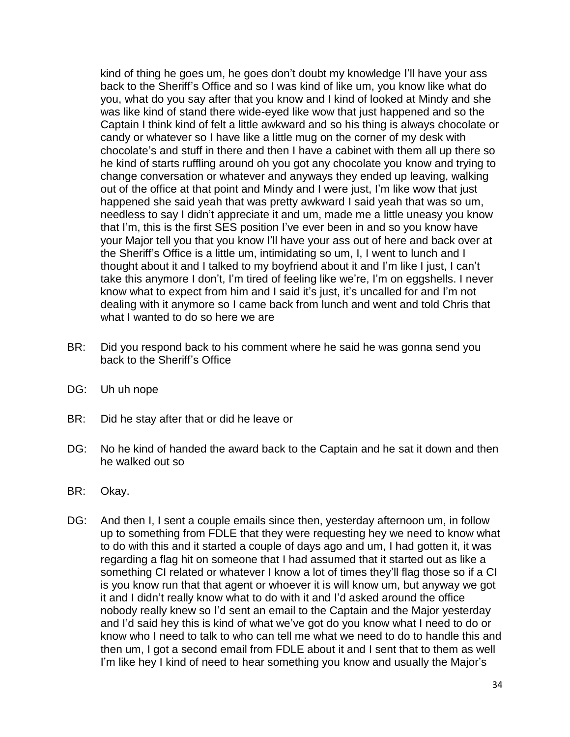kind of thing he goes um, he goes don't doubt my knowledge I'll have your ass back to the Sheriff's Office and so I was kind of like um, you know like what do you, what do you say after that you know and I kind of looked at Mindy and she was like kind of stand there wide-eyed like wow that just happened and so the Captain I think kind of felt a little awkward and so his thing is always chocolate or candy or whatever so I have like a little mug on the corner of my desk with chocolate's and stuff in there and then I have a cabinet with them all up there so he kind of starts ruffling around oh you got any chocolate you know and trying to change conversation or whatever and anyways they ended up leaving, walking out of the office at that point and Mindy and I were just, I'm like wow that just happened she said yeah that was pretty awkward I said yeah that was so um, needless to say I didn't appreciate it and um, made me a little uneasy you know that I'm, this is the first SES position I've ever been in and so you know have your Major tell you that you know I'll have your ass out of here and back over at the Sheriff's Office is a little um, intimidating so um, I, I went to lunch and I thought about it and I talked to my boyfriend about it and I'm like I just, I can't take this anymore I don't, I'm tired of feeling like we're, I'm on eggshells. I never know what to expect from him and I said it's just, it's uncalled for and I'm not dealing with it anymore so I came back from lunch and went and told Chris that what I wanted to do so here we are

- BR: Did you respond back to his comment where he said he was gonna send you back to the Sheriff's Office
- DG: Uh uh nope
- BR: Did he stay after that or did he leave or
- DG: No he kind of handed the award back to the Captain and he sat it down and then he walked out so
- BR: Okay.
- DG: And then I, I sent a couple emails since then, yesterday afternoon um, in follow up to something from FDLE that they were requesting hey we need to know what to do with this and it started a couple of days ago and um, I had gotten it, it was regarding a flag hit on someone that I had assumed that it started out as like a something CI related or whatever I know a lot of times they'll flag those so if a CI is you know run that that agent or whoever it is will know um, but anyway we got it and I didn't really know what to do with it and I'd asked around the office nobody really knew so I'd sent an email to the Captain and the Major yesterday and I'd said hey this is kind of what we've got do you know what I need to do or know who I need to talk to who can tell me what we need to do to handle this and then um, I got a second email from FDLE about it and I sent that to them as well I'm like hey I kind of need to hear something you know and usually the Major's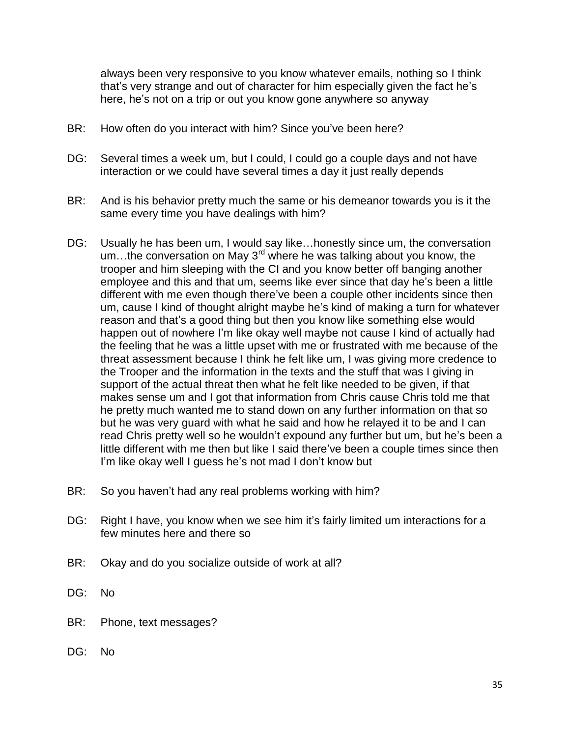always been very responsive to you know whatever emails, nothing so I think that's very strange and out of character for him especially given the fact he's here, he's not on a trip or out you know gone anywhere so anyway

- BR: How often do you interact with him? Since you've been here?
- DG: Several times a week um, but I could, I could go a couple days and not have interaction or we could have several times a day it just really depends
- BR: And is his behavior pretty much the same or his demeanor towards you is it the same every time you have dealings with him?
- DG: Usually he has been um, I would say like…honestly since um, the conversation um...the conversation on May  $3^{rd}$  where he was talking about you know, the trooper and him sleeping with the CI and you know better off banging another employee and this and that um, seems like ever since that day he's been a little different with me even though there've been a couple other incidents since then um, cause I kind of thought alright maybe he's kind of making a turn for whatever reason and that's a good thing but then you know like something else would happen out of nowhere I'm like okay well maybe not cause I kind of actually had the feeling that he was a little upset with me or frustrated with me because of the threat assessment because I think he felt like um, I was giving more credence to the Trooper and the information in the texts and the stuff that was I giving in support of the actual threat then what he felt like needed to be given, if that makes sense um and I got that information from Chris cause Chris told me that he pretty much wanted me to stand down on any further information on that so but he was very guard with what he said and how he relayed it to be and I can read Chris pretty well so he wouldn't expound any further but um, but he's been a little different with me then but like I said there've been a couple times since then I'm like okay well I quess he's not mad I don't know but
- BR: So you haven't had any real problems working with him?
- DG: Right I have, you know when we see him it's fairly limited um interactions for a few minutes here and there so
- BR: Okay and do you socialize outside of work at all?
- DG: No
- BR: Phone, text messages?
- DG: No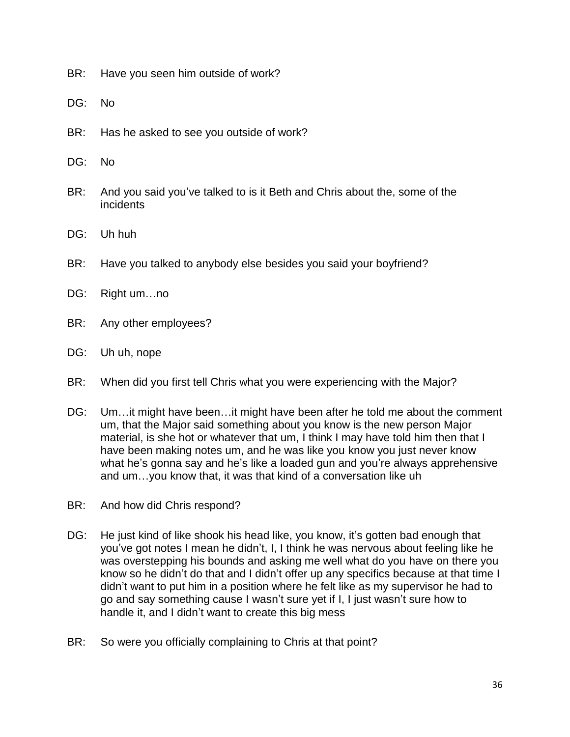- BR: Have you seen him outside of work?
- DG: No
- BR: Has he asked to see you outside of work?
- DG: No
- BR: And you said you've talked to is it Beth and Chris about the, some of the incidents
- DG: Uh huh
- BR: Have you talked to anybody else besides you said your boyfriend?
- DG: Right um…no
- BR: Any other employees?
- DG: Uh uh, nope
- BR: When did you first tell Chris what you were experiencing with the Major?
- DG: Um...it might have been...it might have been after he told me about the comment um, that the Major said something about you know is the new person Major material, is she hot or whatever that um, I think I may have told him then that I have been making notes um, and he was like you know you just never know what he's gonna say and he's like a loaded gun and you're always apprehensive and um…you know that, it was that kind of a conversation like uh
- BR: And how did Chris respond?
- DG: He just kind of like shook his head like, you know, it's gotten bad enough that you've got notes I mean he didn't, I, I think he was nervous about feeling like he was overstepping his bounds and asking me well what do you have on there you know so he didn't do that and I didn't offer up any specifics because at that time I didn't want to put him in a position where he felt like as my supervisor he had to go and say something cause I wasn't sure yet if I, I just wasn't sure how to handle it, and I didn't want to create this big mess
- BR: So were you officially complaining to Chris at that point?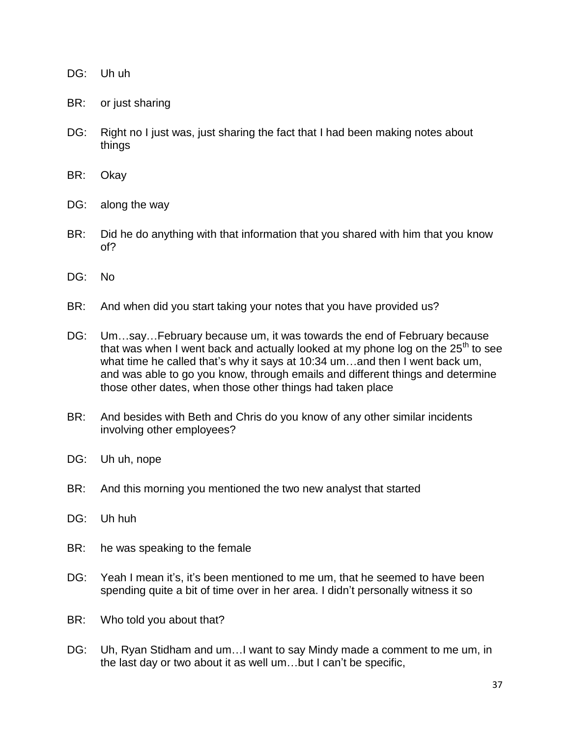## DG: Uh uh

- BR: or just sharing
- DG: Right no I just was, just sharing the fact that I had been making notes about things
- BR: Okay
- DG: along the way
- BR: Did he do anything with that information that you shared with him that you know of?
- DG: No
- BR: And when did you start taking your notes that you have provided us?
- DG: Um…say…February because um, it was towards the end of February because that was when I went back and actually looked at my phone log on the  $25<sup>th</sup>$  to see what time he called that's why it says at 10:34 um…and then I went back um, and was able to go you know, through emails and different things and determine those other dates, when those other things had taken place
- BR: And besides with Beth and Chris do you know of any other similar incidents involving other employees?
- DG: Uh uh, nope
- BR: And this morning you mentioned the two new analyst that started
- DG: Uh huh
- BR: he was speaking to the female
- DG: Yeah I mean it's, it's been mentioned to me um, that he seemed to have been spending quite a bit of time over in her area. I didn't personally witness it so
- BR: Who told you about that?
- DG: Uh, Ryan Stidham and um…I want to say Mindy made a comment to me um, in the last day or two about it as well um…but I can't be specific,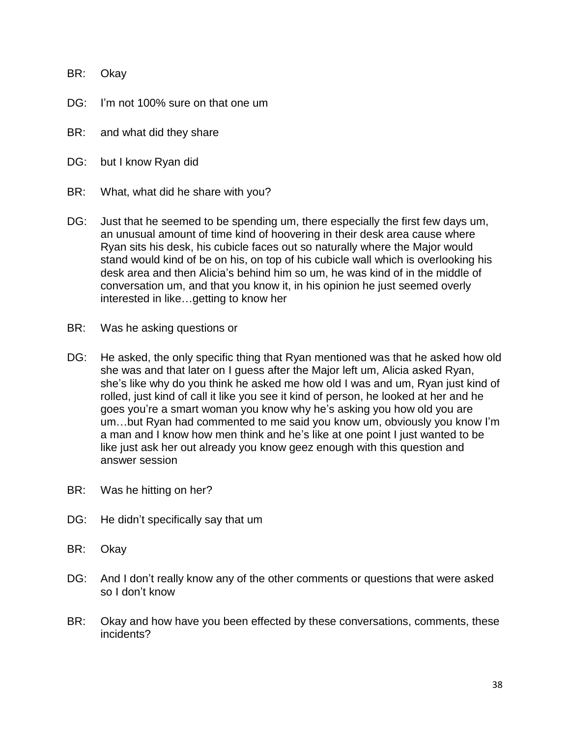BR: Okay

- DG: I'm not 100% sure on that one um
- BR: and what did they share
- DG: but I know Ryan did
- BR: What, what did he share with you?
- DG: Just that he seemed to be spending um, there especially the first few days um, an unusual amount of time kind of hoovering in their desk area cause where Ryan sits his desk, his cubicle faces out so naturally where the Major would stand would kind of be on his, on top of his cubicle wall which is overlooking his desk area and then Alicia's behind him so um, he was kind of in the middle of conversation um, and that you know it, in his opinion he just seemed overly interested in like…getting to know her
- BR: Was he asking questions or
- DG: He asked, the only specific thing that Ryan mentioned was that he asked how old she was and that later on I guess after the Major left um, Alicia asked Ryan, she's like why do you think he asked me how old I was and um, Ryan just kind of rolled, just kind of call it like you see it kind of person, he looked at her and he goes you're a smart woman you know why he's asking you how old you are um…but Ryan had commented to me said you know um, obviously you know I'm a man and I know how men think and he's like at one point I just wanted to be like just ask her out already you know geez enough with this question and answer session
- BR: Was he hitting on her?
- DG: He didn't specifically say that um
- BR: Okay
- DG: And I don't really know any of the other comments or questions that were asked so I don't know
- BR: Okay and how have you been effected by these conversations, comments, these incidents?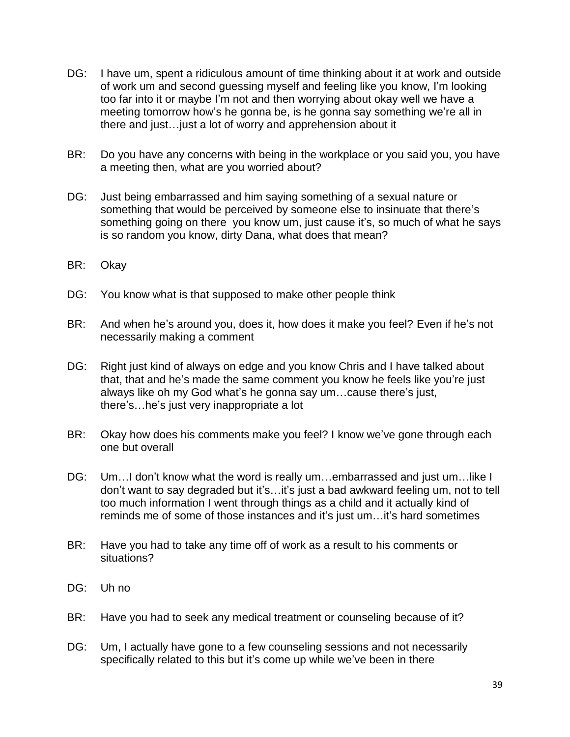- DG: I have um, spent a ridiculous amount of time thinking about it at work and outside of work um and second guessing myself and feeling like you know, I'm looking too far into it or maybe I'm not and then worrying about okay well we have a meeting tomorrow how's he gonna be, is he gonna say something we're all in there and just…just a lot of worry and apprehension about it
- BR: Do you have any concerns with being in the workplace or you said you, you have a meeting then, what are you worried about?
- DG: Just being embarrassed and him saying something of a sexual nature or something that would be perceived by someone else to insinuate that there's something going on there you know um, just cause it's, so much of what he says is so random you know, dirty Dana, what does that mean?
- BR: Okay
- DG: You know what is that supposed to make other people think
- BR: And when he's around you, does it, how does it make you feel? Even if he's not necessarily making a comment
- DG: Right just kind of always on edge and you know Chris and I have talked about that, that and he's made the same comment you know he feels like you're just always like oh my God what's he gonna say um…cause there's just, there's…he's just very inappropriate a lot
- BR: Okay how does his comments make you feel? I know we've gone through each one but overall
- DG: Um...I don't know what the word is really um...embarrassed and just um...like I don't want to say degraded but it's…it's just a bad awkward feeling um, not to tell too much information I went through things as a child and it actually kind of reminds me of some of those instances and it's just um…it's hard sometimes
- BR: Have you had to take any time off of work as a result to his comments or situations?
- DG: Uh no
- BR: Have you had to seek any medical treatment or counseling because of it?
- DG: Um, I actually have gone to a few counseling sessions and not necessarily specifically related to this but it's come up while we've been in there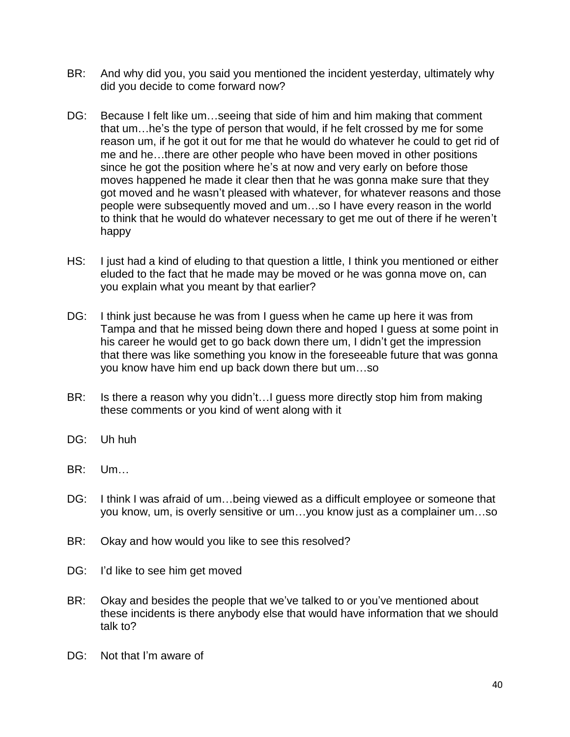- BR: And why did you, you said you mentioned the incident yesterday, ultimately why did you decide to come forward now?
- DG: Because I felt like um…seeing that side of him and him making that comment that um…he's the type of person that would, if he felt crossed by me for some reason um, if he got it out for me that he would do whatever he could to get rid of me and he…there are other people who have been moved in other positions since he got the position where he's at now and very early on before those moves happened he made it clear then that he was gonna make sure that they got moved and he wasn't pleased with whatever, for whatever reasons and those people were subsequently moved and um…so I have every reason in the world to think that he would do whatever necessary to get me out of there if he weren't happy
- HS: I just had a kind of eluding to that question a little, I think you mentioned or either eluded to the fact that he made may be moved or he was gonna move on, can you explain what you meant by that earlier?
- DG: I think just because he was from I guess when he came up here it was from Tampa and that he missed being down there and hoped I guess at some point in his career he would get to go back down there um, I didn't get the impression that there was like something you know in the foreseeable future that was gonna you know have him end up back down there but um…so
- BR: Is there a reason why you didn't... I guess more directly stop him from making these comments or you kind of went along with it
- DG: Uh huh
- BR: Um…
- DG: I think I was afraid of um…being viewed as a difficult employee or someone that you know, um, is overly sensitive or um…you know just as a complainer um…so
- BR: Okay and how would you like to see this resolved?
- DG: I'd like to see him get moved
- BR: Okay and besides the people that we've talked to or you've mentioned about these incidents is there anybody else that would have information that we should talk to?
- DG: Not that I'm aware of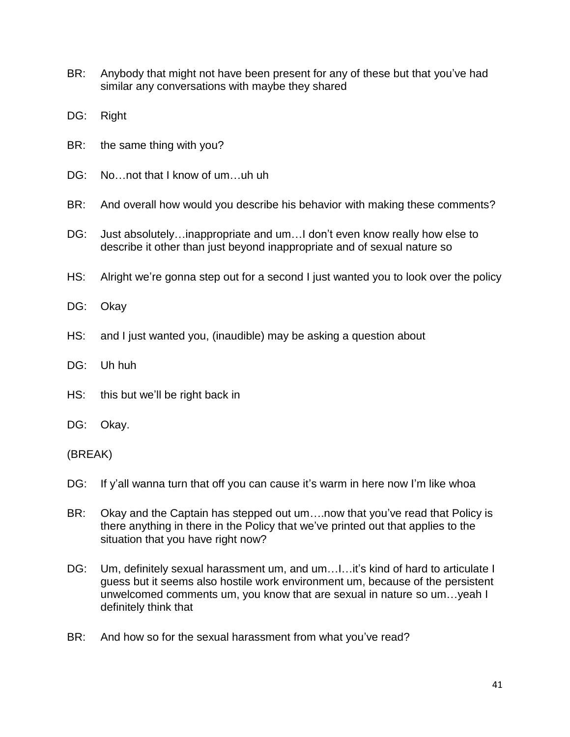- BR: Anybody that might not have been present for any of these but that you've had similar any conversations with maybe they shared
- DG: Right
- BR: the same thing with you?
- DG: No...not that I know of um...uh uh
- BR: And overall how would you describe his behavior with making these comments?
- DG: Just absolutely...inappropriate and um...I don't even know really how else to describe it other than just beyond inappropriate and of sexual nature so
- HS: Alright we're gonna step out for a second I just wanted you to look over the policy
- DG: Okay
- HS: and I just wanted you, (inaudible) may be asking a question about
- DG: Uh huh
- HS: this but we'll be right back in
- DG: Okay.

(BREAK)

- DG: If y'all wanna turn that off you can cause it's warm in here now I'm like whoa
- BR: Okay and the Captain has stepped out um….now that you've read that Policy is there anything in there in the Policy that we've printed out that applies to the situation that you have right now?
- DG: Um, definitely sexual harassment um, and um......it's kind of hard to articulate I guess but it seems also hostile work environment um, because of the persistent unwelcomed comments um, you know that are sexual in nature so um…yeah I definitely think that
- BR: And how so for the sexual harassment from what you've read?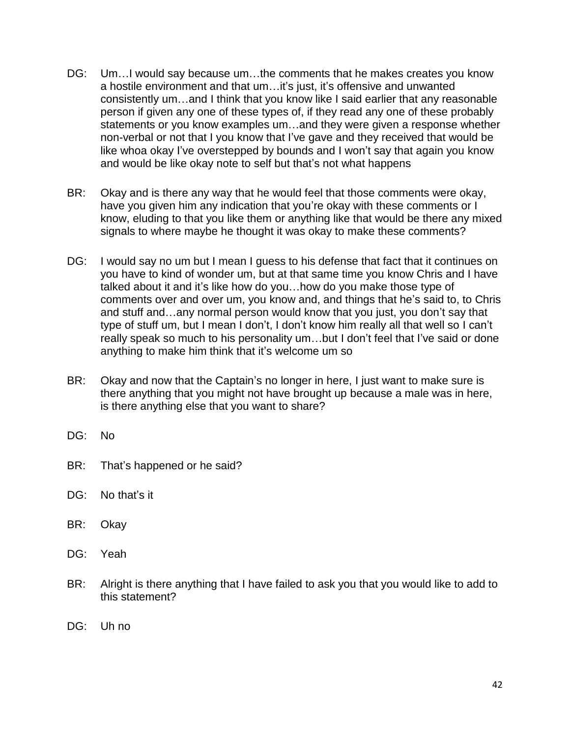- DG: Um…I would say because um…the comments that he makes creates you know a hostile environment and that um…it's just, it's offensive and unwanted consistently um…and I think that you know like I said earlier that any reasonable person if given any one of these types of, if they read any one of these probably statements or you know examples um…and they were given a response whether non-verbal or not that I you know that I've gave and they received that would be like whoa okay I've overstepped by bounds and I won't say that again you know and would be like okay note to self but that's not what happens
- BR: Okay and is there any way that he would feel that those comments were okay, have you given him any indication that you're okay with these comments or I know, eluding to that you like them or anything like that would be there any mixed signals to where maybe he thought it was okay to make these comments?
- DG: I would say no um but I mean I guess to his defense that fact that it continues on you have to kind of wonder um, but at that same time you know Chris and I have talked about it and it's like how do you…how do you make those type of comments over and over um, you know and, and things that he's said to, to Chris and stuff and…any normal person would know that you just, you don't say that type of stuff um, but I mean I don't, I don't know him really all that well so I can't really speak so much to his personality um…but I don't feel that I've said or done anything to make him think that it's welcome um so
- BR: Okay and now that the Captain's no longer in here, I just want to make sure is there anything that you might not have brought up because a male was in here, is there anything else that you want to share?
- DG: No
- BR: That's happened or he said?
- DG: No that's it
- BR: Okay
- DG: Yeah
- BR: Alright is there anything that I have failed to ask you that you would like to add to this statement?
- DG: Uh no